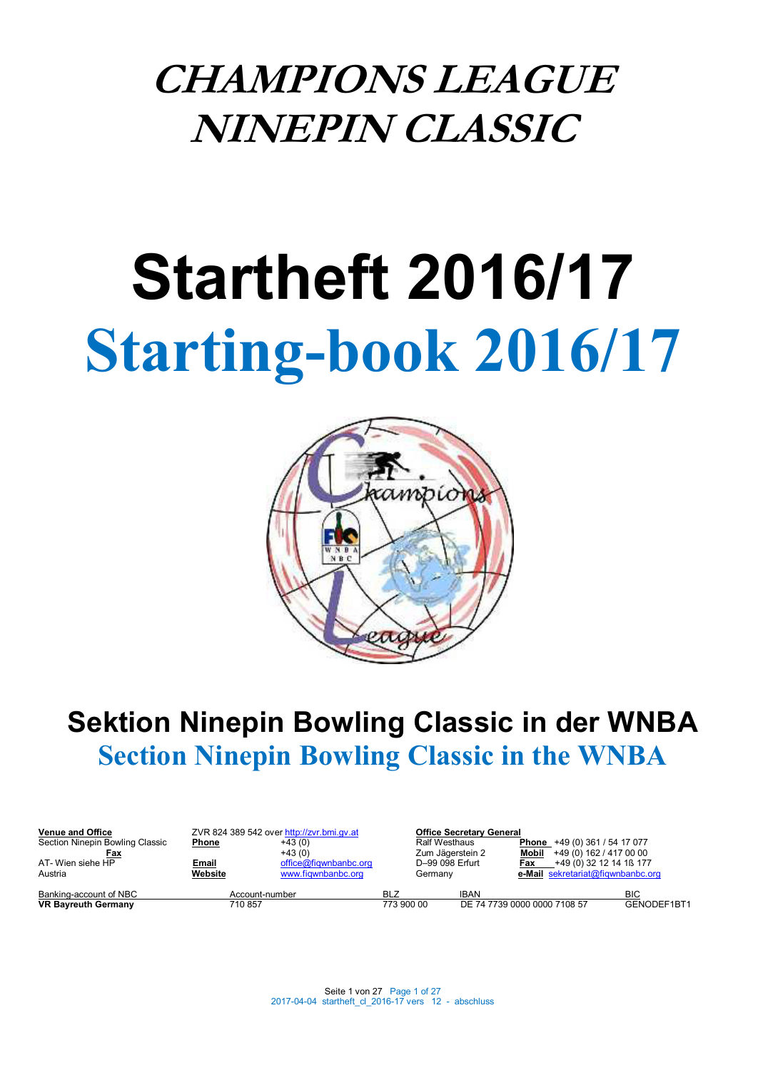## **CHAMPIONS LEAGUE NINEPIN CLASSIC**

# **Startheft 2016/17 Starting-book 2016/17**



## **Sektion Ninepin Bowling Classic in der WNBA Section Ninepin Bowling Classic in the WNBA**

| Venue and Office                |                | ZVR 824 389 542 over http://zvr.bmi.gv.at |            | <b>Office Secretary General</b> |                                   |             |
|---------------------------------|----------------|-------------------------------------------|------------|---------------------------------|-----------------------------------|-------------|
| Section Ninepin Bowling Classic | Phone          | $+43(0)$                                  |            | Ralf Westhaus                   | Phone +49 (0) 361 / 54 17 077     |             |
| <b>Fax</b>                      |                | $+43(0)$                                  |            | Zum Jägerstein 2                | +49 (0) 162 / 417 00 00<br>Mobil  |             |
| AT-Wien siehe HP                | Email          | office@figwnbanbc.org                     |            | D-99 098 Erfurt                 | Fax $+49(0)$ 32 12 14 16 177      |             |
| Austria                         | Website        | www.figwnbanbc.org                        | Germany    |                                 | e-Mail sekretariat@figwnbanbc.org |             |
| Banking-account of NBC          | Account-number |                                           | <b>BLZ</b> | <b>IBAN</b>                     |                                   | <b>BIC</b>  |
| <b>VR Bayreuth Germany</b>      | 710857         |                                           | 773 900 00 |                                 | DE 74 7739 0000 0000 7108 57      | GENODEF1BT1 |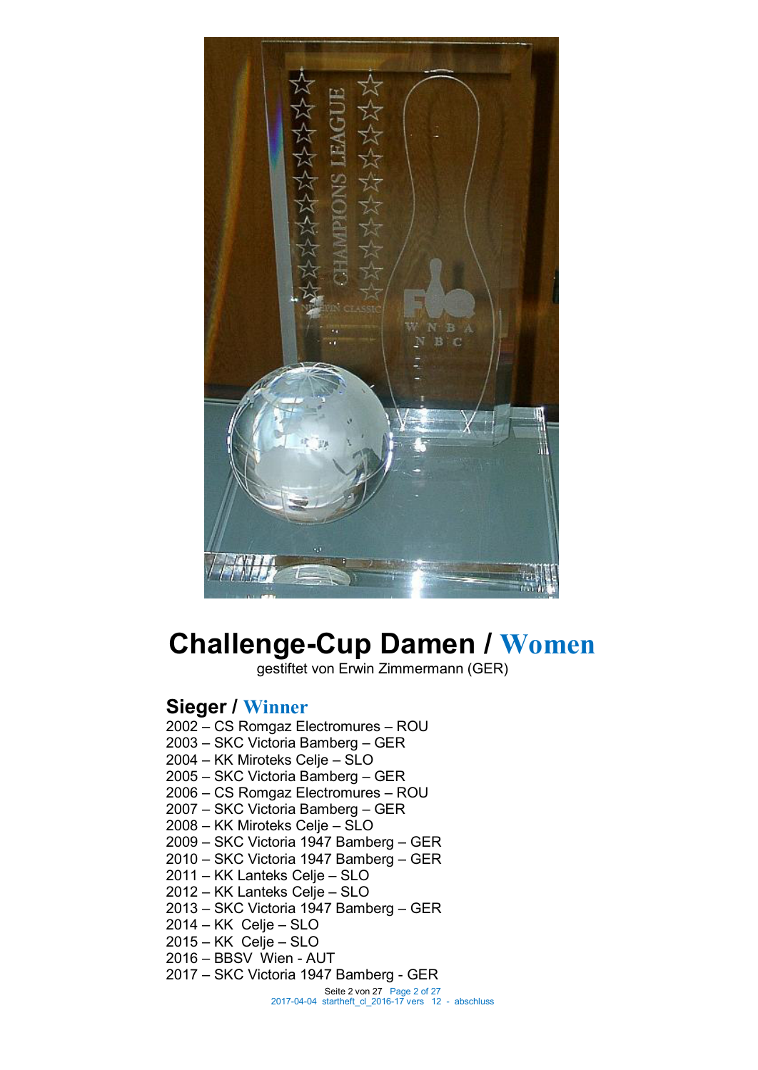

## **Challenge-Cup Damen / Women**

gestiftet von Erwin Zimmermann (GER)

## **Sieger / Winner**

- 2002 CS Romgaz Electromures ROU
- 2003 SKC Victoria Bamberg GER
- 2004 KK Miroteks Celje SLO
- 2005 SKC Victoria Bamberg GER
- 2006 CS Romgaz Electromures ROU
- 2007 SKC Victoria Bamberg GER
- 2008 KK Miroteks Celje SLO
- 2009 SKC Victoria 1947 Bamberg GER
- 2010 SKC Victoria 1947 Bamberg GER
- 2011 KK Lanteks Celje SLO
- 2012 KK Lanteks Celje SLO
- 2013 SKC Victoria 1947 Bamberg GER
- 2014 KK Celje SLO
- 2015 KK Celje SLO
- 2016 BBSV Wien AUT
- 2017 SKC Victoria 1947 Bamberg GER

Seite 2 von 27 Page 2 of 27 2017-04-04 startheft\_cl\_2016-17 vers 12 - abschluss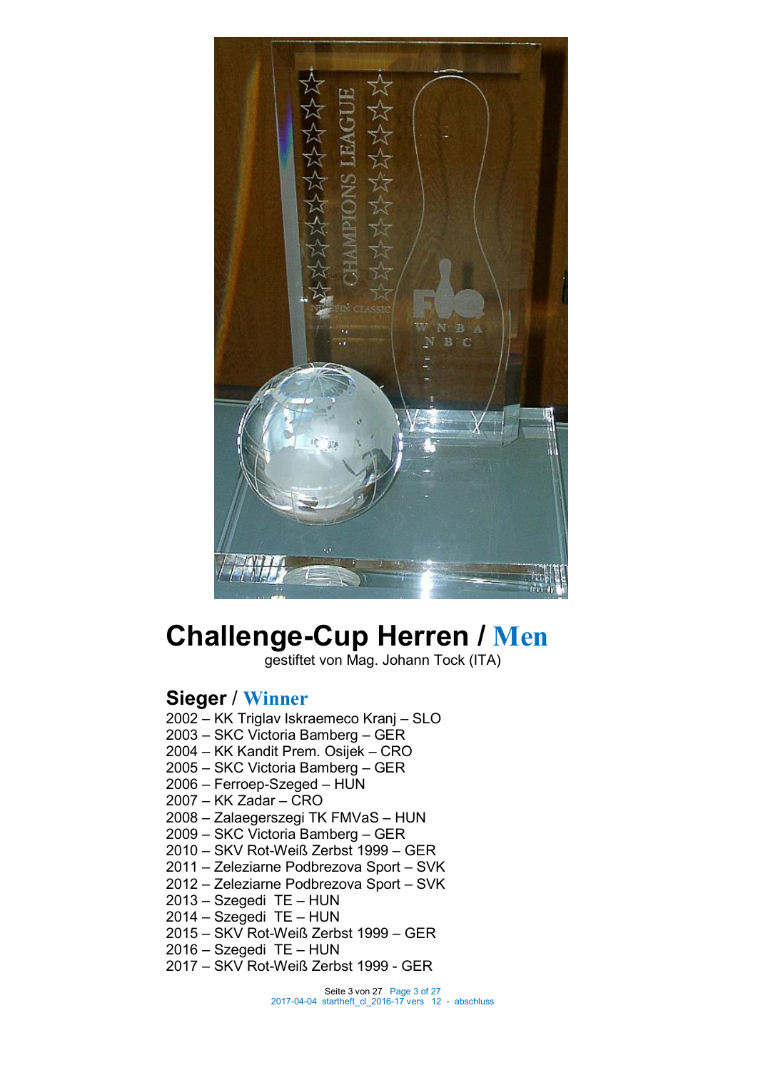

## **Challenge-Cup Herren / Men**

gestiftet von Mag. Johann Tock (ITA)

## **Sieger** / **Winner**

- 2002 KK Triglav Iskraemeco Kranj SLO
- 2003 SKC Victoria Bamberg GER
- 2004 KK Kandit Prem. Osijek CRO
- 2005 SKC Victoria Bamberg GER
- 2006 Ferroep-Szeged HUN
- 2007 KK Zadar CRO
- 2008 Zalaegerszegi TK FMVaS HUN
- 2009 SKC Victoria Bamberg GER
- 2010 SKV Rot-Weiß Zerbst 1999 GER
- 2011 Zeleziarne Podbrezova Sport SVK
- 2012 Zeleziarne Podbrezova Sport SVK
- 2013 Szegedi TE HUN
- 2014 Szegedi TE HUN
- 2015 SKV Rot-Weiß Zerbst 1999 GER
- 2016 Szegedi TE HUN
- 2017 SKV Rot-Weiß Zerbst 1999 GER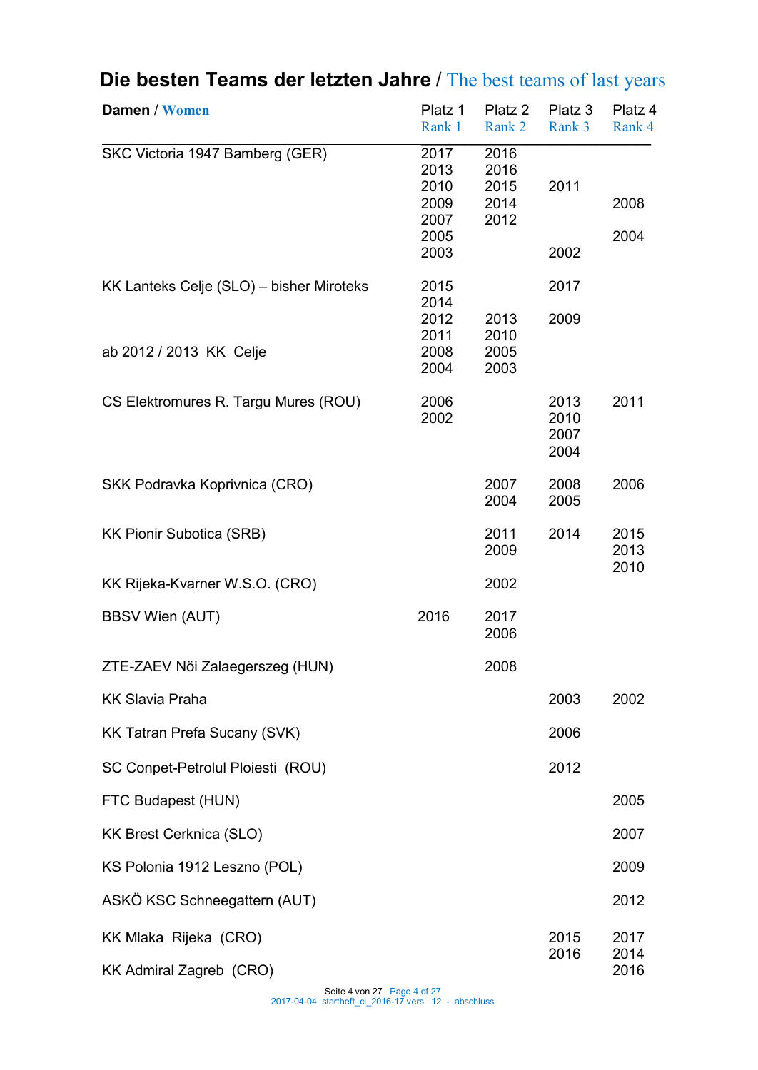| Damen / Women                                    | Platz 1<br>Rank 1                            | Platz 2<br>Rank 2                    | Platz 3<br>Rank 3            | Platz 4<br>Rank 4    |
|--------------------------------------------------|----------------------------------------------|--------------------------------------|------------------------------|----------------------|
| SKC Victoria 1947 Bamberg (GER)                  | 2017<br>2013<br>2010<br>2009<br>2007<br>2005 | 2016<br>2016<br>2015<br>2014<br>2012 | 2011                         | 2008<br>2004         |
|                                                  | 2003                                         |                                      | 2002                         |                      |
| KK Lanteks Celje (SLO) - bisher Miroteks         | 2015<br>2014                                 |                                      | 2017                         |                      |
|                                                  | 2012                                         | 2013                                 | 2009                         |                      |
| ab 2012 / 2013 KK Celje                          | 2011<br>2008<br>2004                         | 2010<br>2005<br>2003                 |                              |                      |
| CS Elektromures R. Targu Mures (ROU)             | 2006<br>2002                                 |                                      | 2013<br>2010<br>2007<br>2004 | 2011                 |
| SKK Podravka Koprivnica (CRO)                    |                                              | 2007<br>2004                         | 2008<br>2005                 | 2006                 |
| <b>KK Pionir Subotica (SRB)</b>                  |                                              | 2011<br>2009                         | 2014                         | 2015<br>2013         |
| KK Rijeka-Kvarner W.S.O. (CRO)                   |                                              | 2002                                 |                              | 2010                 |
| BBSV Wien (AUT)                                  | 2016                                         | 2017<br>2006                         |                              |                      |
| ZTE-ZAEV Nöi Zalaegerszeg (HUN)                  |                                              | 2008                                 |                              |                      |
| <b>KK Slavia Praha</b>                           |                                              |                                      | 2003                         | 2002                 |
| KK Tatran Prefa Sucany (SVK)                     |                                              |                                      | 2006                         |                      |
| SC Conpet-Petrolul Ploiesti (ROU)                |                                              |                                      | 2012                         |                      |
| FTC Budapest (HUN)                               |                                              |                                      |                              | 2005                 |
| KK Brest Cerknica (SLO)                          |                                              |                                      |                              | 2007                 |
| KS Polonia 1912 Leszno (POL)                     |                                              |                                      |                              | 2009                 |
| ASKÖ KSC Schneegattern (AUT)                     |                                              |                                      |                              | 2012                 |
| KK Mlaka Rijeka (CRO)<br>KK Admiral Zagreb (CRO) |                                              |                                      | 2015<br>2016                 | 2017<br>2014<br>2016 |

## **Die besten Teams der letzten Jahre** / The best teams of last years

Seite 4 von 27 Page 4 of 27 2017-04-04 startheft\_cl\_2016-17 vers 12 - abschluss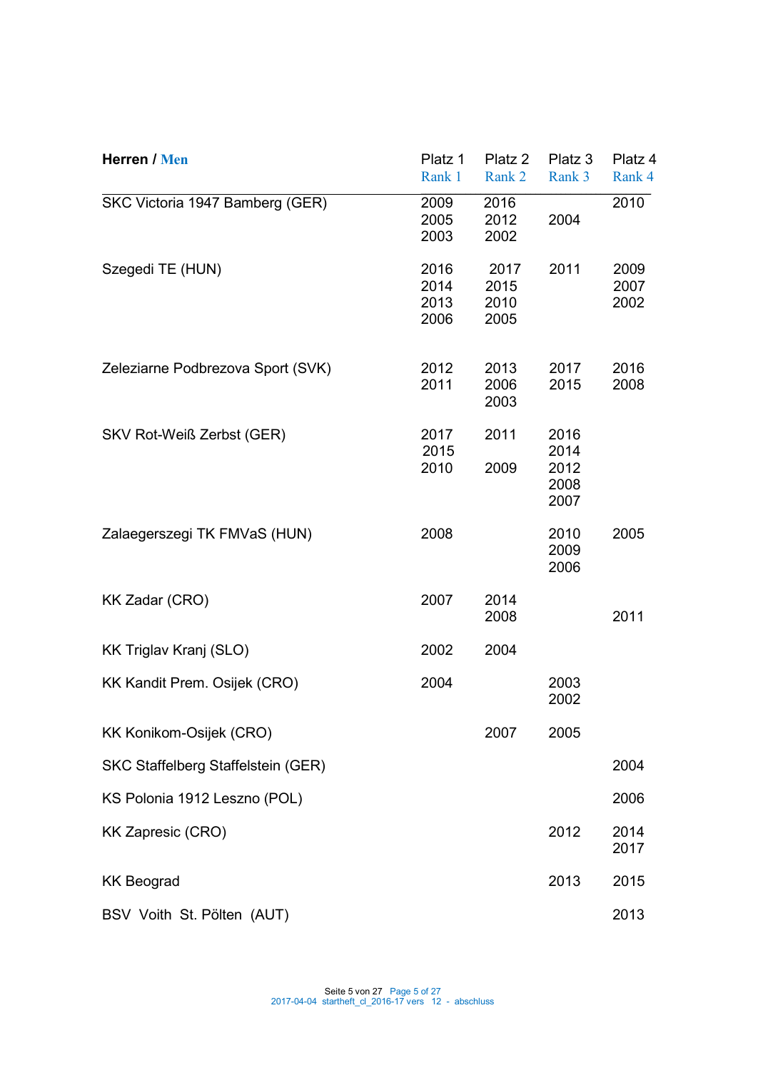| Herren / Men                       | Platz 1<br>Rank 1            | Platz <sub>2</sub><br>Rank 2 | Platz <sub>3</sub><br>Rank 3         | Platz 4<br>Rank 4    |
|------------------------------------|------------------------------|------------------------------|--------------------------------------|----------------------|
| SKC Victoria 1947 Bamberg (GER)    | 2009<br>2005<br>2003         | 2016<br>2012<br>2002         | 2004                                 | 2010                 |
| Szegedi TE (HUN)                   | 2016<br>2014<br>2013<br>2006 | 2017<br>2015<br>2010<br>2005 | 2011                                 | 2009<br>2007<br>2002 |
| Zeleziarne Podbrezova Sport (SVK)  | 2012<br>2011                 | 2013<br>2006<br>2003         | 2017<br>2015                         | 2016<br>2008         |
| SKV Rot-Weiß Zerbst (GER)          | 2017<br>2015<br>2010         | 2011<br>2009                 | 2016<br>2014<br>2012<br>2008<br>2007 |                      |
| Zalaegerszegi TK FMVaS (HUN)       | 2008                         |                              | 2010<br>2009<br>2006                 | 2005                 |
| KK Zadar (CRO)                     | 2007                         | 2014<br>2008                 |                                      | 2011                 |
| KK Triglav Kranj (SLO)             | 2002                         | 2004                         |                                      |                      |
| KK Kandit Prem. Osijek (CRO)       | 2004                         |                              | 2003<br>2002                         |                      |
| KK Konikom-Osijek (CRO)            |                              | 2007                         | 2005                                 |                      |
| SKC Staffelberg Staffelstein (GER) |                              |                              |                                      | 2004                 |
| KS Polonia 1912 Leszno (POL)       |                              |                              |                                      | 2006                 |
| KK Zapresic (CRO)                  |                              |                              | 2012                                 | 2014<br>2017         |
| <b>KK Beograd</b>                  |                              |                              | 2013                                 | 2015                 |
| BSV Voith St. Pölten (AUT)         |                              |                              |                                      | 2013                 |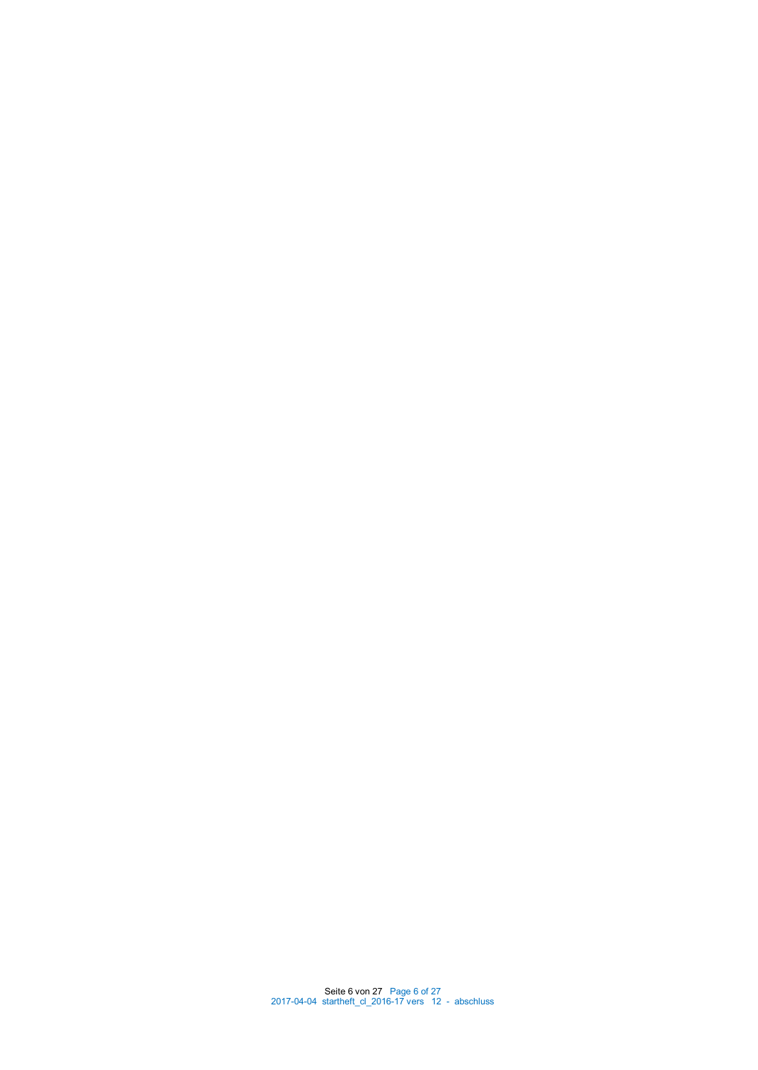Seite 6 von 27 Page 6 of 27 2017-04-04 startheft\_cl\_2016-17 vers 12 - abschluss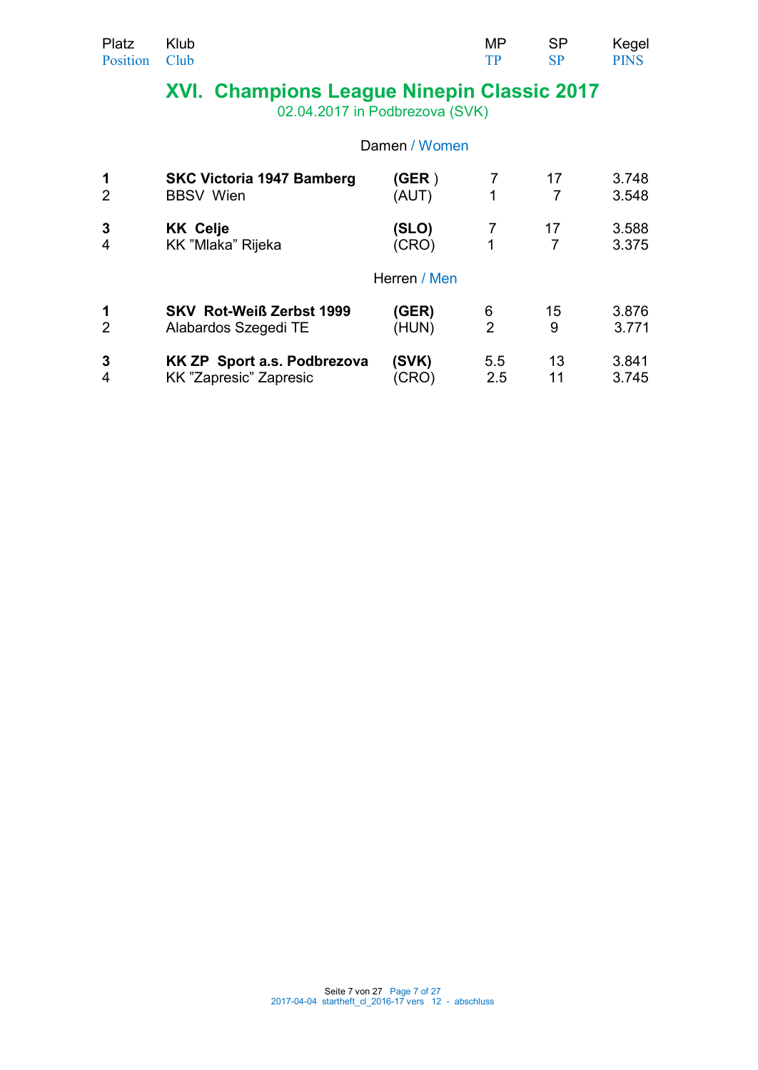| Platz Klub    | MP | SP Kegel |             |
|---------------|----|----------|-------------|
| Position Club | TP | SP       | <b>PINS</b> |

## **XVI. Champions League Ninepin Classic 2017**

02.04.2017 in Podbrezova (SVK)

## Damen / Women

| 1                   | SKC Victoria 1947 Bamberg            | (GER )                         | 1   | 17      | 3.748          |
|---------------------|--------------------------------------|--------------------------------|-----|---------|----------------|
| 2                   | <b>BBSV Wien</b>                     | (AUT)                          |     | 7       | 3.548          |
| 3<br>$\overline{4}$ | <b>KK Celje</b><br>KK "Mlaka" Rijeka | (SLO)<br>(CRO)<br>Herren / Men |     | 17<br>7 | 3.588<br>3.375 |
| 1                   | SKV Rot-Weiß Zerbst 1999             | (GER)                          | 6   | 15      | 3.876          |
| 2                   | Alabardos Szegedi TE                 | (HUN)                          | 2   | 9       | 3.771          |
| 3                   | <b>KK ZP Sport a.s. Podbrezova</b>   | (SVK)                          | 5.5 | 13      | 3.841          |
| 4                   | KK "Zapresic" Zapresic               | CRO)                           | 2.5 | 11      | 3.745          |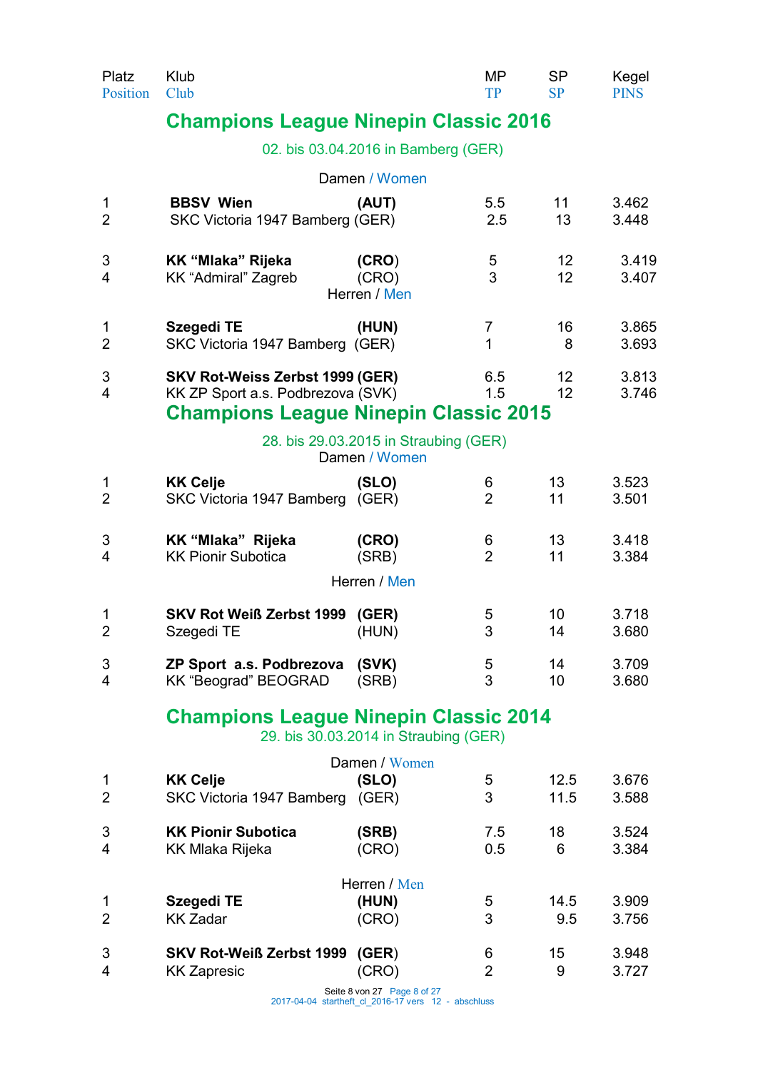| Platz<br>Position              | Klub<br>Club                                                                                                         |                                                        | MР<br>TP            | SP<br>SP     | Kegel<br><b>PINS</b> |
|--------------------------------|----------------------------------------------------------------------------------------------------------------------|--------------------------------------------------------|---------------------|--------------|----------------------|
|                                | <b>Champions League Ninepin Classic 2016</b>                                                                         |                                                        |                     |              |                      |
|                                |                                                                                                                      | 02. bis 03.04.2016 in Bamberg (GER)                    |                     |              |                      |
|                                |                                                                                                                      | Damen / Women                                          |                     |              |                      |
| $\mathbf{1}$<br>$\overline{2}$ | <b>BBSV Wien</b><br>SKC Victoria 1947 Bamberg (GER)                                                                  | (AUT)                                                  | 5.5<br>2.5          | 11<br>13     | 3.462<br>3.448       |
| 3<br>4                         | KK "Mlaka" Rijeka<br>KK "Admiral" Zagreb                                                                             | (CRO)<br>(CRO)<br>Herren / Men                         | 5<br>3              | 12<br>12     | 3.419<br>3.407       |
| 1<br>$\overline{2}$            | Szegedi TE<br>SKC Victoria 1947 Bamberg (GER)                                                                        | (HUN)                                                  | 7<br>1              | 16<br>8      | 3.865<br>3.693       |
| 3<br>4                         | SKV Rot-Weiss Zerbst 1999 (GER)<br>KK ZP Sport a.s. Podbrezova (SVK)<br><b>Champions League Ninepin Classic 2015</b> |                                                        | 6.5<br>1.5          | 12<br>12     | 3.813<br>3.746       |
|                                |                                                                                                                      | 28. bis 29.03.2015 in Straubing (GER)<br>Damen / Women |                     |              |                      |
| 1<br>$\overline{2}$            | <b>KK Celje</b><br>SKC Victoria 1947 Bamberg                                                                         | (SLO)<br>(GER)                                         | 6<br>$\overline{2}$ | 13<br>11     | 3.523<br>3.501       |
| 3<br>4                         | KK "Mlaka" Rijeka<br><b>KK Pionir Subotica</b>                                                                       | (CRO)<br>(SRB)                                         | 6<br>$\overline{2}$ | 13<br>11     | 3.418<br>3.384       |
|                                |                                                                                                                      | Herren / Men                                           |                     |              |                      |
| 1<br>$\overline{2}$            | <b>SKV Rot Weiß Zerbst 1999</b><br>Szegedi TE                                                                        | (GER)<br>(HUN)                                         | 5<br>3              | 10<br>14     | 3.718<br>3.680       |
| 3<br>4                         | ZP Sport a.s. Podbrezova<br>KK "Beograd" BEOGRAD                                                                     | (SVK)<br>(SRB)                                         | 5<br>3              | 14<br>10     | 3.709<br>3.680       |
|                                | <b>Champions League Ninepin Classic 2014</b>                                                                         | 29. bis 30.03.2014 in Straubing (GER)                  |                     |              |                      |
|                                |                                                                                                                      | Damen / Women                                          |                     |              |                      |
| 1<br>$\overline{2}$            | <b>KK Celje</b><br>SKC Victoria 1947 Bamberg                                                                         | (SLO)<br>(GER)                                         | 5<br>3              | 12.5<br>11.5 | 3.676<br>3.588       |
| 3<br>4                         | <b>KK Pionir Subotica</b><br>KK Mlaka Rijeka                                                                         | (SRB)<br>(CRO)                                         | 7.5<br>0.5          | 18<br>6      | 3.524<br>3.384       |
|                                |                                                                                                                      | Herren / Men                                           |                     |              |                      |
| 1<br>$\overline{2}$            | Szegedi TE<br><b>KK Zadar</b>                                                                                        | (HUN)<br>(CRO)                                         | 5<br>3              | 14.5<br>9.5  | 3.909<br>3.756       |
| 3<br>4                         | SKV Rot-Weiß Zerbst 1999<br><b>KK Zapresic</b>                                                                       | (GER)<br>(CRO)                                         | 6<br>$\overline{2}$ | 15<br>9      | 3.948<br>3.727       |

Seite 8 von 27 Page 8 of 27 2017-04-04 startheft\_cl\_2016-17 vers 12 - abschluss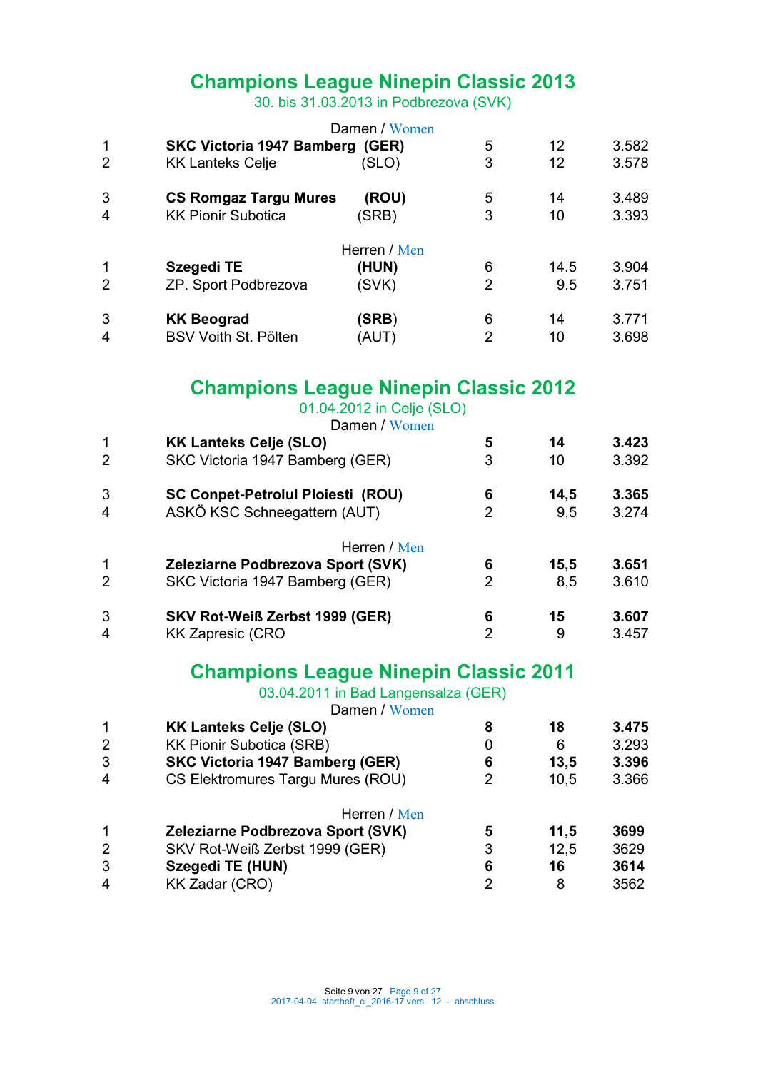## **Champions League Ninepin Classic 2013**

30. bis 31.03.2013 in Podbrezova (SVK)

|                |                                 | Damen / Women |   |      |       |
|----------------|---------------------------------|---------------|---|------|-------|
| $\mathbf 1$    | SKC Victoria 1947 Bamberg (GER) |               | 5 | 12   | 3.582 |
| 2              | <b>KK Lanteks Celje</b>         | (SLO)         | 3 | 12   | 3.578 |
| 3              | <b>CS Romgaz Targu Mures</b>    | (ROU)         | 5 | 14   | 3.489 |
| $\overline{4}$ | <b>KK Pionir Subotica</b>       | (SRB)         | 3 | 10   | 3.393 |
|                |                                 | Herren / Men  |   |      |       |
| 1              | Szegedi TE                      | (HUN)         | 6 | 14.5 | 3.904 |
| $\mathcal{P}$  | ZP. Sport Podbrezova            | (SVK)         | 2 | 9.5  | 3.751 |
| 3              | <b>KK Beograd</b>               | (SRB)         | 6 | 14   | 3.771 |
| 4              | <b>BSV Voith St. Pölten</b>     | (AUT)         | 2 | 10   | 3.698 |

## **Champions League Ninepin Classic 2012**  01.04.2012 in Celje (SLO)

 $D<sub>aman</sub> / W$ 

|                          | Damen / Women                            |   |      |       |
|--------------------------|------------------------------------------|---|------|-------|
| 1                        | <b>KK Lanteks Celje (SLO)</b>            | 5 | 14   | 3.423 |
| 2                        | SKC Victoria 1947 Bamberg (GER)          | 3 | 10   | 3.392 |
| 3                        | <b>SC Conpet-Petrolul Ploiesti (ROU)</b> | 6 | 14.5 | 3.365 |
| $\overline{\mathcal{A}}$ | ASKÖ KSC Schneegattern (AUT)             | 2 | 9.5  | 3.274 |
|                          | Herren / Men                             |   |      |       |
| $\mathbf{1}$             | Zeleziarne Podbrezova Sport (SVK)        | 6 | 15,5 | 3.651 |
| 2                        | SKC Victoria 1947 Bamberg (GER)          | 2 | 8.5  | 3.610 |
| 3                        | SKV Rot-Weiß Zerbst 1999 (GER)           | 6 | 15   | 3.607 |
| $\overline{\mathcal{A}}$ | <b>KK Zapresic (CRO</b>                  | 2 | 9    | 3.457 |
|                          |                                          |   |      |       |

## **Champions League Ninepin Classic 2011**

03.04.2011 in Bad Langensalza (GER)

Damen / Women

| $\mathbf{1}$             | <b>KK Lanteks Celje (SLO)</b>     | 8 | 18   | 3.475 |
|--------------------------|-----------------------------------|---|------|-------|
| 2                        | <b>KK Pionir Subotica (SRB)</b>   | 0 | 6    | 3.293 |
| 3                        | SKC Victoria 1947 Bamberg (GER)   | 6 | 13.5 | 3.396 |
| $\overline{\mathcal{A}}$ | CS Elektromures Tarqu Mures (ROU) | 2 | 10.5 | 3.366 |
|                          | Herren / Men                      |   |      |       |
| $\mathbf 1$              | Zeleziarne Podbrezova Sport (SVK) | 5 | 11.5 | 3699  |
| 2                        | SKV Rot-Weiß Zerbst 1999 (GER)    | 3 | 12.5 | 3629  |
| 3                        | Szegedi TE (HUN)                  | 6 | 16   | 3614  |
| $\overline{\mathcal{A}}$ | KK Zadar (CRO)                    | 2 | 8    | 3562  |
|                          |                                   |   |      |       |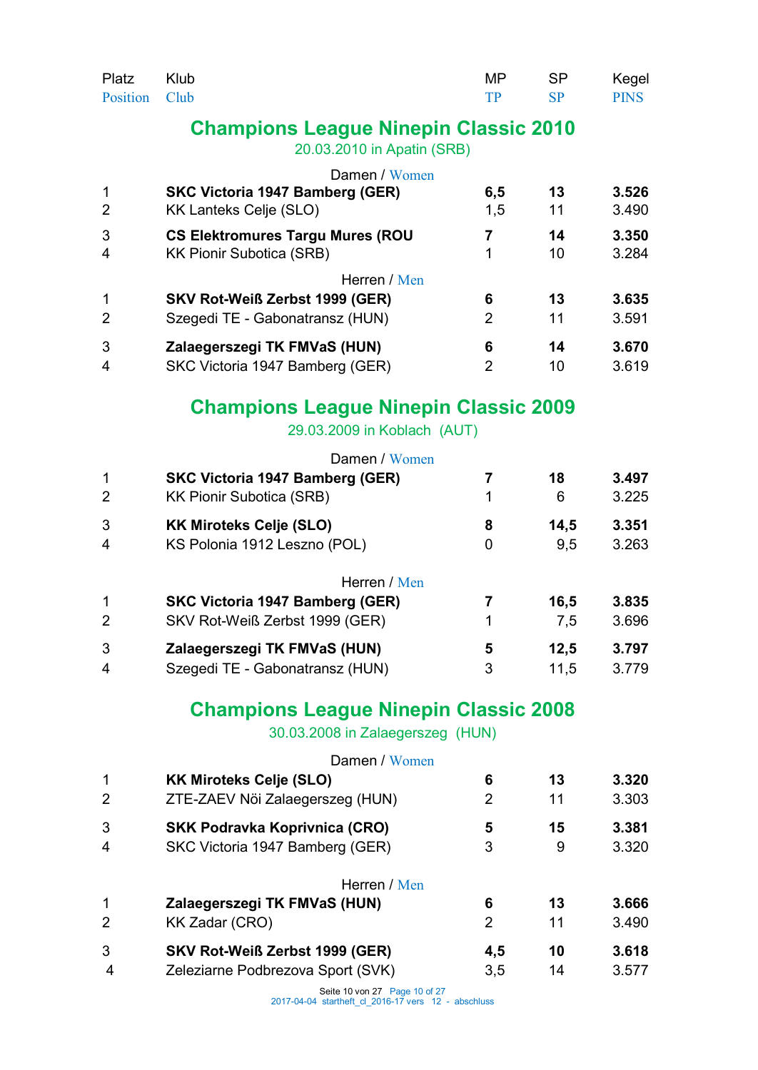| Platz Klub    | MP. | SP Kegel |  |
|---------------|-----|----------|--|
| Position Club |     | SP PINS  |  |

## **Champions League Ninepin Classic 2010**

20.03.2010 in Apatin (SRB)

|                | Damen / Women                           |     |    |       |
|----------------|-----------------------------------------|-----|----|-------|
| 1              | SKC Victoria 1947 Bamberg (GER)         | 6.5 | 13 | 3.526 |
| 2              | KK Lanteks Celje (SLO)                  | 1.5 | 11 | 3.490 |
| 3              | <b>CS Elektromures Targu Mures (ROU</b> | 7   | 14 | 3.350 |
| 4              | <b>KK Pionir Subotica (SRB)</b>         | 1   | 10 | 3.284 |
|                | Herren / Men                            |     |    |       |
| -1             | SKV Rot-Weiß Zerbst 1999 (GER)          | 6   | 13 | 3.635 |
| 2              | Szegedi TE - Gabonatransz (HUN)         | 2   | 11 | 3.591 |
| 3              | Zalaegerszegi TK FMVaS (HUN)            | 6   | 14 | 3.670 |
| $\overline{4}$ | SKC Victoria 1947 Bamberg (GER)         | 2   | 10 | 3.619 |

## **Champions League Ninepin Classic 2009**

29.03.2009 in Koblach (AUT)

|   | Damen / Women                   |   |      |       |
|---|---------------------------------|---|------|-------|
| 1 | SKC Victoria 1947 Bamberg (GER) |   | 18   | 3.497 |
| 2 | <b>KK Pionir Subotica (SRB)</b> | 1 | 6    | 3.225 |
| 3 | <b>KK Miroteks Celje (SLO)</b>  | 8 | 14.5 | 3.351 |
| 4 | KS Polonia 1912 Leszno (POL)    | 0 | 9.5  | 3.263 |
|   | Herren / Men                    |   |      |       |
| 1 | SKC Victoria 1947 Bamberg (GER) |   | 16,5 | 3.835 |
| 2 | SKV Rot-Weiß Zerbst 1999 (GER)  |   | 7.5  | 3.696 |
| 3 | Zalaegerszegi TK FMVaS (HUN)    | 5 | 12.5 | 3.797 |
| 4 | Szegedi TE - Gabonatransz (HUN) | 3 | 11.5 | 3.779 |

## **Champions League Ninepin Classic 2008**

30.03.2008 in Zalaegerszeg (HUN)

|   | Damen / Women                        |     |    |       |
|---|--------------------------------------|-----|----|-------|
| 1 | <b>KK Miroteks Celje (SLO)</b>       | 6   | 13 | 3.320 |
| 2 | ZTE-ZAEV Nöi Zalaegerszeg (HUN)      | 2   | 11 | 3.303 |
| 3 | <b>SKK Podravka Koprivnica (CRO)</b> | 5   | 15 | 3.381 |
| 4 | SKC Victoria 1947 Bamberg (GER)      | 3   | 9  | 3.320 |
|   | Herren / Men                         |     |    |       |
| 1 | Zalaegerszegi TK FMVaS (HUN)         | 6   | 13 | 3.666 |
| 2 | KK Zadar (CRO)                       | 2   | 11 | 3.490 |
| 3 | SKV Rot-Weiß Zerbst 1999 (GER)       | 4,5 | 10 | 3.618 |
| 4 | Zeleziarne Podbrezova Sport (SVK)    | 3,5 | 14 | 3.577 |

Seite 10 von 27 Page 10 of 27 2017-04-04 startheft\_cl\_2016-17 vers 12 - abschluss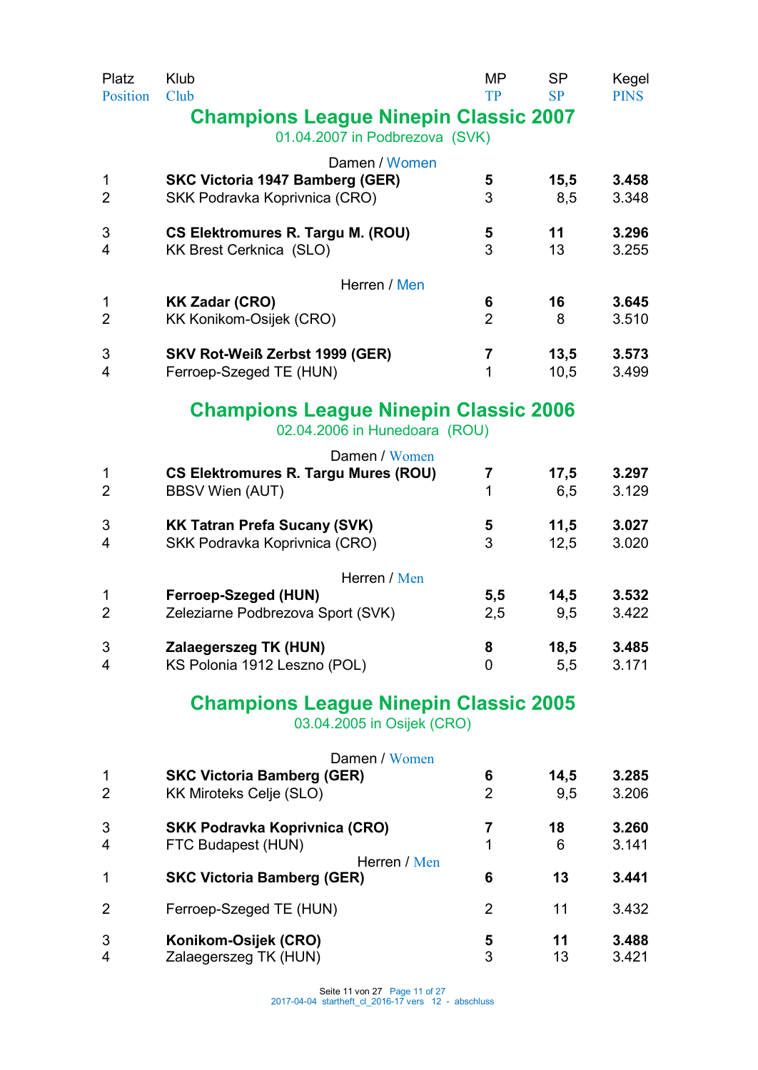| Platz<br>Position   | Klub<br>Club                                                                      | <b>MP</b><br>TP     | <b>SP</b><br><b>SP</b> | Kegel<br><b>PINS</b> |
|---------------------|-----------------------------------------------------------------------------------|---------------------|------------------------|----------------------|
|                     | <b>Champions League Ninepin Classic 2007</b><br>01.04.2007 in Podbrezova (SVK)    |                     |                        |                      |
| 1<br>$\overline{2}$ | Damen / Women<br>SKC Victoria 1947 Bamberg (GER)<br>SKK Podravka Koprivnica (CRO) | 5<br>3              | 15,5<br>8,5            | 3.458<br>3.348       |
| 3<br>4              | CS Elektromures R. Targu M. (ROU)<br>KK Brest Cerknica (SLO)                      | 5<br>3              | 11<br>13               | 3.296<br>3.255       |
|                     | Herren / Men                                                                      |                     |                        |                      |
| 1<br>$\overline{2}$ | <b>KK Zadar (CRO)</b><br>KK Konikom-Osijek (CRO)                                  | 6<br>$\mathfrak{p}$ | 16<br>8                | 3.645<br>3.510       |
| 3<br>4              | SKV Rot-Weiß Zerbst 1999 (GER)<br>Ferroep-Szeged TE (HUN)                         | 7<br>1              | 13,5<br>10,5           | 3.573<br>3.499       |
|                     | <b>Champions League Ninepin Classic 2006</b><br>02.04.2006 in Hunedoara (ROU)     |                     |                        |                      |
|                     | Damen / Women                                                                     |                     |                        |                      |
| 1<br>$\overline{2}$ | <b>CS Elektromures R. Targu Mures (ROU)</b><br><b>BBSV Wien (AUT)</b>             | 7<br>1              | 17,5<br>6,5            | 3.297<br>3.129       |
| 3<br>4              | <b>KK Tatran Prefa Sucany (SVK)</b><br>SKK Podravka Koprivnica (CRO)              | 5<br>3              | 11,5<br>12,5           | 3.027<br>3.020       |
|                     | Herren / Men                                                                      |                     |                        |                      |
| 1                   | Ferroep-Szeged (HUN)                                                              | 5,5                 | 14,5                   | 3.532                |
| $\overline{2}$      | Zeleziarne Podbrezova Sport (SVK)                                                 | 2,5                 | 9,5                    | 3.422                |
| 3                   | Zalaegerszeg TK (HUN)                                                             | 8                   | 18,5                   | 3.485                |
| 4                   | KS Polonia 1912 Leszno (POL)                                                      | 0                   | 5,5                    | 3.171                |
|                     | <b>Champions League Ninepin Classic 2005</b><br>03.04.2005 in Osijek (CRO)        |                     |                        |                      |

|                | Damen / Women                                 |        |          |                |
|----------------|-----------------------------------------------|--------|----------|----------------|
| 1              | <b>SKC Victoria Bamberg (GER)</b>             | 6      | 14.5     | 3.285          |
| $\overline{2}$ | KK Miroteks Celje (SLO)                       | 2      | 9.5      | 3.206          |
| 3              | SKK Podravka Koprivnica (CRO)                 |        | 18       | 3.260          |
| $\overline{4}$ | FTC Budapest (HUN)                            | 1      | 6        | 3.141          |
|                | Herren / Men                                  |        |          |                |
| 1              | <b>SKC Victoria Bamberg (GER)</b>             | 6      | 13       | 3.441          |
| $\overline{2}$ | Ferroep-Szeged TE (HUN)                       | 2      | 11       | 3.432          |
| 3<br>4         | Konikom-Osijek (CRO)<br>Zalaegerszeg TK (HUN) | 5<br>3 | 11<br>13 | 3.488<br>3.421 |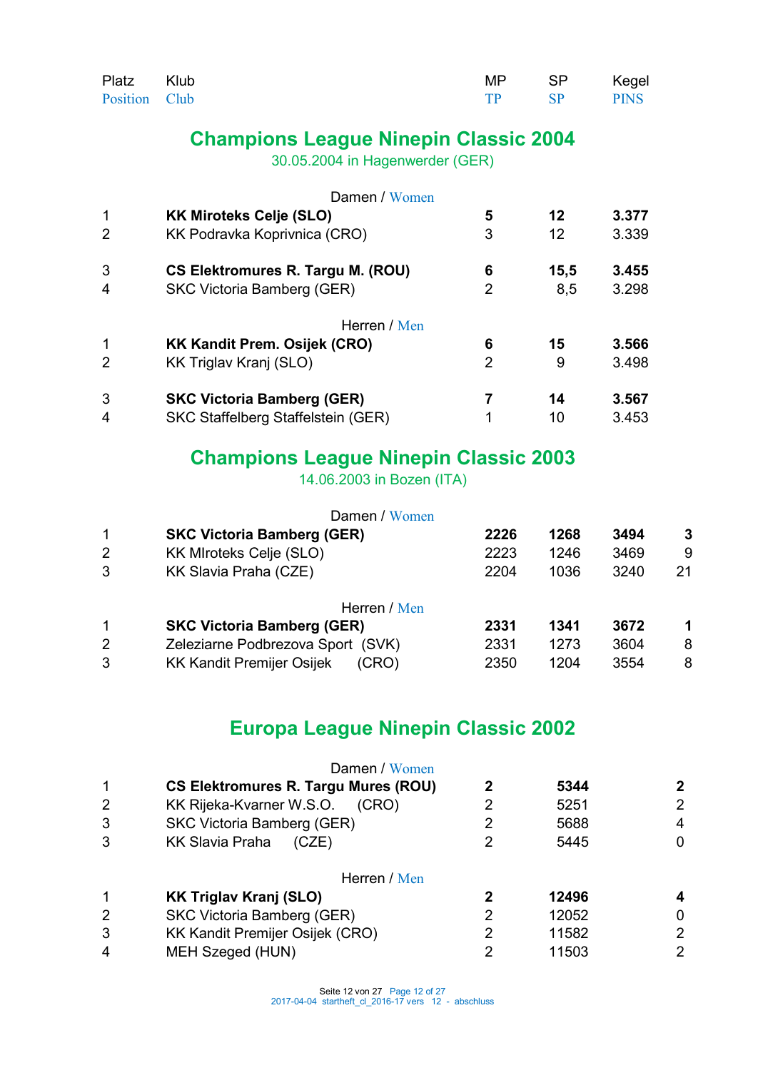| Platz    | Klub                                                                            | MΡ             | SP                | Kegel       |
|----------|---------------------------------------------------------------------------------|----------------|-------------------|-------------|
| Position | Club                                                                            | TP             | SP                | <b>PINS</b> |
|          | <b>Champions League Ninepin Classic 2004</b><br>30.05.2004 in Hagenwerder (GER) |                |                   |             |
|          | Damen / Women                                                                   |                |                   |             |
| 1        | <b>KK Miroteks Celje (SLO)</b>                                                  | 5              | 12                | 3.377       |
| 2        | KK Podravka Koprivnica (CRO)                                                    | 3              | $12 \overline{ }$ | 3.339       |
| 3        | CS Elektromures R. Targu M. (ROU)                                               | 6              | 15,5              | 3.455       |
| 4        | SKC Victoria Bamberg (GER)                                                      | $\overline{2}$ | 8,5               | 3.298       |
|          | Herren / Men                                                                    |                |                   |             |
| 1        | KK Kandit Prem. Osijek (CRO)                                                    | 6              | 15                | 3.566       |
| 2        | KK Triglav Kranj (SLO)                                                          | 2              | 9                 | 3.498       |
| 3        | <b>SKC Victoria Bamberg (GER)</b>                                               | 7              | 14                | 3.567       |
| 4        | SKC Staffelberg Staffelstein (GER)                                              | 1              | 10                | 3.453       |
|          |                                                                                 |                |                   |             |

## **Champions League Ninepin Classic 2003**

14.06.2003 in Bozen (ITA)

|              | Damen / Women                             |      |      |      |    |
|--------------|-------------------------------------------|------|------|------|----|
| $\mathbf{1}$ | <b>SKC Victoria Bamberg (GER)</b>         | 2226 | 1268 | 3494 | 3  |
| 2            | <b>KK Miroteks Celje (SLO)</b>            | 2223 | 1246 | 3469 | 9  |
| 3            | KK Slavia Praha (CZE)                     | 2204 | 1036 | 3240 | 21 |
|              | Herren / Men                              |      |      |      |    |
| $\mathbf{1}$ | <b>SKC Victoria Bamberg (GER)</b>         | 2331 | 1341 | 3672 | 1  |
| 2            | Zeleziarne Podbrezova Sport (SVK)         | 2331 | 1273 | 3604 | 8  |
| 3            | <b>KK Kandit Premijer Osijek</b><br>(CRO) | 2350 | 1204 | 3554 | 8  |

## **Europa League Ninepin Classic 2002**

|                | Damen / Women                               |   |       |   |
|----------------|---------------------------------------------|---|-------|---|
| 1              | <b>CS Elektromures R. Targu Mures (ROU)</b> | 2 | 5344  | 2 |
| 2              | KK Rijeka-Kvarner W.S.O.<br>(CRO)           | 2 | 5251  | 2 |
| 3              | SKC Victoria Bamberg (GER)                  | 2 | 5688  | 4 |
| 3              | KK Slavia Praha<br>(CZE)                    | 2 | 5445  | 0 |
|                | Herren / Men                                |   |       |   |
| $\mathbf 1$    | KK Triglav Kranj (SLO)                      | 2 | 12496 |   |
| 2              | SKC Victoria Bamberg (GER)                  | 2 | 12052 | 0 |
| 3              | KK Kandit Premijer Osijek (CRO)             | 2 | 11582 | 2 |
| $\overline{4}$ | MEH Szeged (HUN)                            | 2 | 11503 | 2 |
|                |                                             |   |       |   |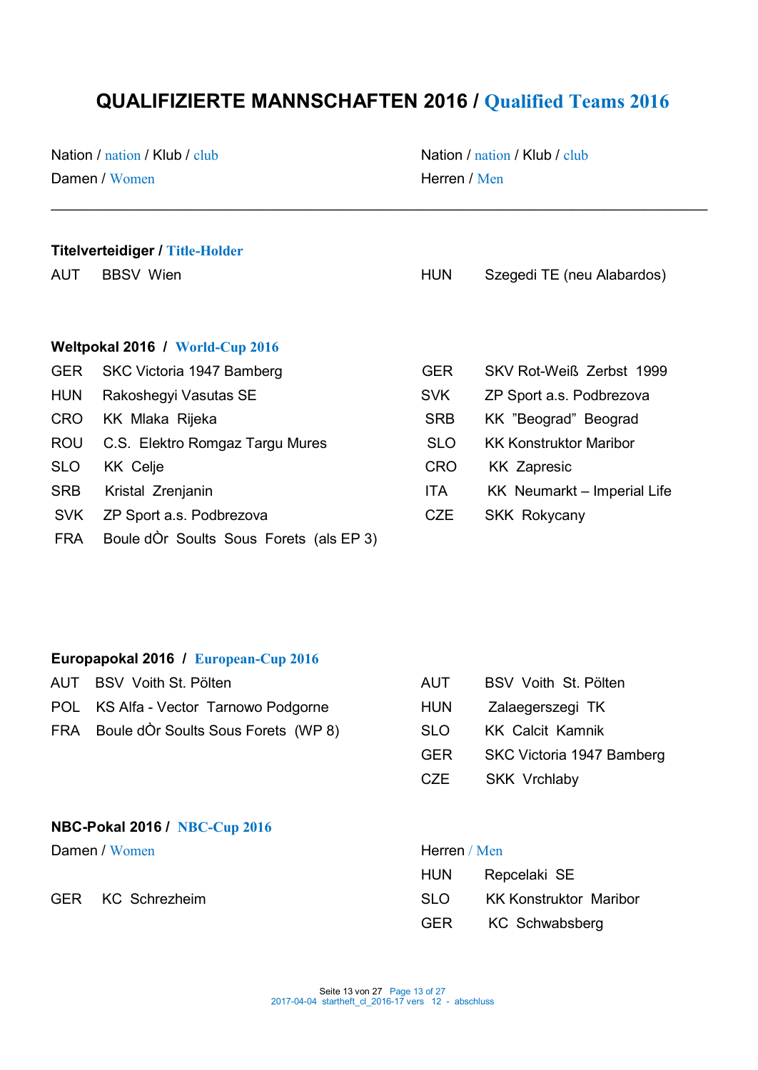## **QUALIFIZIERTE MANNSCHAFTEN 2016 / Qualified Teams 2016**

Nation / nation / Klub / club Nation / nation / Klub / club Nation / Registered Nation / Registered Nation / Klub / club Damen / Women **Herren** / Men  $\_$  , and the state of the state of the state of the state of the state of the state of the state of the state of the state of the state of the state of the state of the state of the state of the state of the state of the **Titelverteidiger / Title-Holder** AUT BBSV Wien **HUN** Szegedi TE (neu Alabardos) **Weltpokal 2016 / World-Cup 2016**  GER SKC Victoria 1947 Bamberg GER SKV Rot-Weiß Zerbst 1999 HUN Rakoshegyi Vasutas SE SVK ZP Sport a.s. Podbrezova CRO KK Mlaka Rijeka SRB KK "Beograd" Beograd ROU C.S. Elektro Romgaz Targu Mures SLO KK Konstruktor Maribor SLO KK Celje CRO KK Zapresic SRB Kristal Zrenjanin **ITA** KK Neumarkt – Imperial Life SVK ZP Sport a.s. Podbrezova CZE SKK Rokycany FRA Boule dÒr Soults Sous Forets (als EP 3)

### **Europapokal 2016 / European-Cup 2016**

| AUT BSV Voith St. Pölten |                                         | AUT        | BSV Voith St. Pölten      |
|--------------------------|-----------------------------------------|------------|---------------------------|
|                          | POL KS Alfa - Vector Tarnowo Podgorne   | <b>HUN</b> | Zalaegerszegi TK          |
|                          | FRA Boule dÒr Soults Sous Forets (WP 8) | <b>SLO</b> | KK Calcit Kamnik          |
|                          |                                         | <b>GER</b> | SKC Victoria 1947 Bamberg |
|                          |                                         | CZE.       | <b>SKK Vrchlaby</b>       |

### **NBC-Pokal 2016 / NBC-Cup 2016**

Damen / Women **Herren** / Men

|                   | <b>HUN</b> | Repcelaki SE           |
|-------------------|------------|------------------------|
| GER KC Schrezheim | SI O       | KK Konstruktor Maribor |
|                   | GER        | KC Schwabsberg         |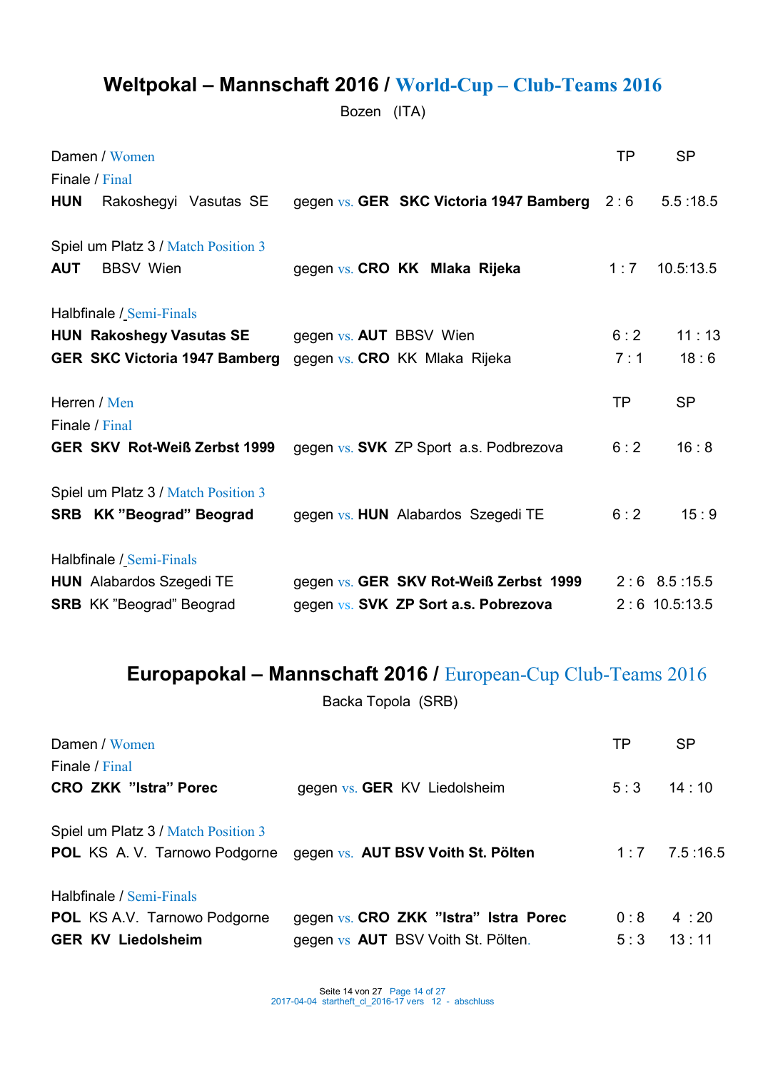## **Weltpokal – Mannschaft 2016 / World-Cup – Club-Teams 2016**

Bozen (ITA)

| Damen / Women<br>Finale / Final                                        |                                         | <b>TP</b> | <b>SP</b>       |
|------------------------------------------------------------------------|-----------------------------------------|-----------|-----------------|
| HUN<br>Rakoshegyi Vasutas SE                                           | gegen vs. GER SKC Victoria 1947 Bamberg | 2:6       | 5.5:18.5        |
| Spiel um Platz 3 / Match Position 3<br><b>AUT</b><br><b>BBSV Wien</b>  | gegen vs. CRO KK Mlaka Rijeka           | 1:7       | 10.5:13.5       |
| Halbfinale / Semi-Finals                                               |                                         |           |                 |
| <b>HUN Rakoshegy Vasutas SE</b>                                        | gegen vs. AUT BBSV Wien                 | 6:2       | 11:13           |
| <b>GER SKC Victoria 1947 Bamberg</b>                                   | gegen vs. CRO KK Mlaka Rijeka           | 7:1       | 18:6            |
| Herren / Men<br>Finale / Final                                         |                                         | <b>TP</b> | <b>SP</b>       |
| GER SKV Rot-Weiß Zerbst 1999                                           | gegen vs. SVK ZP Sport a.s. Podbrezova  | 6:2       | 16:8            |
| Spiel um Platz 3 / Match Position 3<br><b>SRB KK "Beograd" Beograd</b> | gegen vs. HUN Alabardos Szegedi TE      | 6:2       | 15:9            |
| Halbfinale / Semi-Finals                                               |                                         |           |                 |
| <b>HUN</b> Alabardos Szegedi TE                                        | gegen vs. GER SKV Rot-Weiß Zerbst 1999  |           | $2:6$ 8.5:15.5  |
| <b>SRB</b> KK "Beograd" Beograd                                        | gegen vs. SVK ZP Sort a.s. Pobrezova    |           | $2:6$ 10.5:13.5 |

## **Europapokal – Mannschaft 2016 /** European-Cup Club-Teams 2016

Backa Topola (SRB)

| Damen / Women<br>Finale / Final                                 |                                                                                | ТP  | SP             |
|-----------------------------------------------------------------|--------------------------------------------------------------------------------|-----|----------------|
| <b>CRO ZKK "Istra" Porec</b>                                    | gegen vs. GER KV Liedolsheim                                                   | 5:3 | 14:10          |
| Spiel um Platz 3 / Match Position 3                             | <b>POL KS A. V. Tarnowo Podgorne</b> gegen vs. <b>AUT BSV Voith St. Pölten</b> |     | $1:7$ 7.5:16.5 |
| Halbfinale / Semi-Finals<br><b>POL</b> KS A.V. Tarnowo Podgorne | gegen vs. CRO ZKK "Istra" Istra Porec                                          | 0:8 | 4:20           |
| <b>GER KV Liedolsheim</b>                                       | gegen vs AUT BSV Voith St. Pölten.                                             | 5:3 | 13:11          |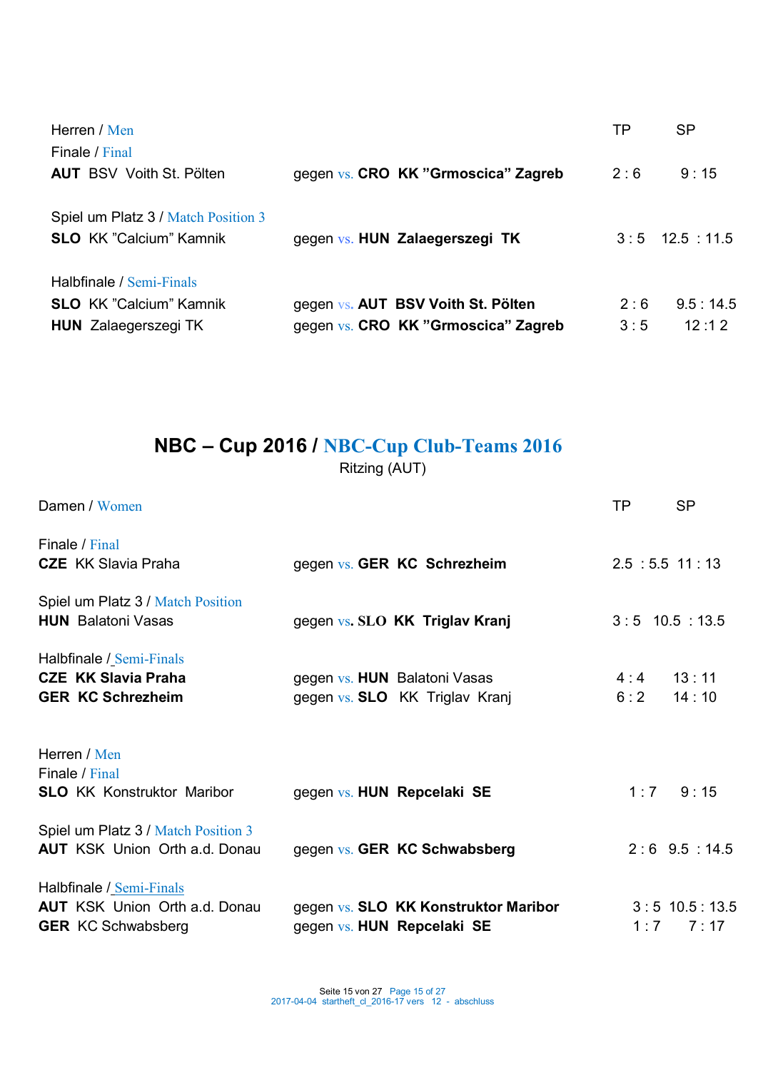| Herren / Men<br>Finale / Final                                                            |                                                                           | ТP         | SP                |
|-------------------------------------------------------------------------------------------|---------------------------------------------------------------------------|------------|-------------------|
| <b>AUT</b> BSV Voith St. Pölten                                                           | gegen vs. CRO KK "Grmoscica" Zagreb                                       | 2:6        | 9:15              |
| Spiel um Platz 3 / Match Position 3<br><b>SLO</b> KK "Calcium" Kamnik                     | gegen vs. HUN Zalaegerszegi TK                                            |            | $3:5$ 12.5 : 11.5 |
| Halbfinale / Semi-Finals<br><b>SLO</b> KK "Calcium" Kamnik<br><b>HUN</b> Zalaegerszegi TK | gegen vs. AUT BSV Voith St. Pölten<br>gegen vs. CRO KK "Grmoscica" Zagreb | 2:6<br>3:5 | 9.5:14.5<br>12:12 |

## **NBC – Cup 2016 / NBC-Cup Club-Teams 2016**

Ritzing (AUT)

| Damen / Women                                                                                 |                                                                    | <b>TP</b>         | <b>SP</b>               |
|-----------------------------------------------------------------------------------------------|--------------------------------------------------------------------|-------------------|-------------------------|
| Finale / Final<br><b>CZE</b> KK Slavia Praha                                                  | gegen vs. GER KC Schrezheim                                        | 2.5:5.5:11:13     |                         |
| Spiel um Platz 3 / Match Position<br><b>HUN</b> Balatoni Vasas                                | gegen vs. SLO KK Triglav Kranj                                     | $3:5$ 10.5 : 13.5 |                         |
| Halbfinale / Semi-Finals<br><b>CZE KK Slavia Praha</b><br><b>GER KC Schrezheim</b>            | gegen vs. HUN Balatoni Vasas<br>gegen vs. SLO KK Triglav Kranj     | 4:4<br>6:2        | 13:11<br>14:10          |
| Herren / Men<br>Finale / Final<br><b>SLO</b> KK Konstruktor Maribor                           | gegen vs. HUN Repcelaki SE                                         | 1:7               | 9:15                    |
| Spiel um Platz 3 / Match Position 3<br><b>AUT</b> KSK Union Orth a.d. Donau                   | gegen vs. GER KC Schwabsberg                                       |                   | $2:6$ $9.5:14.5$        |
| Halbfinale / Semi-Finals<br><b>AUT</b> KSK Union Orth a.d. Donau<br><b>GER KC Schwabsberg</b> | gegen vs. SLO KK Konstruktor Maribor<br>gegen vs. HUN Repcelaki SE | 1:7               | $3:5$ 10.5:13.5<br>7:17 |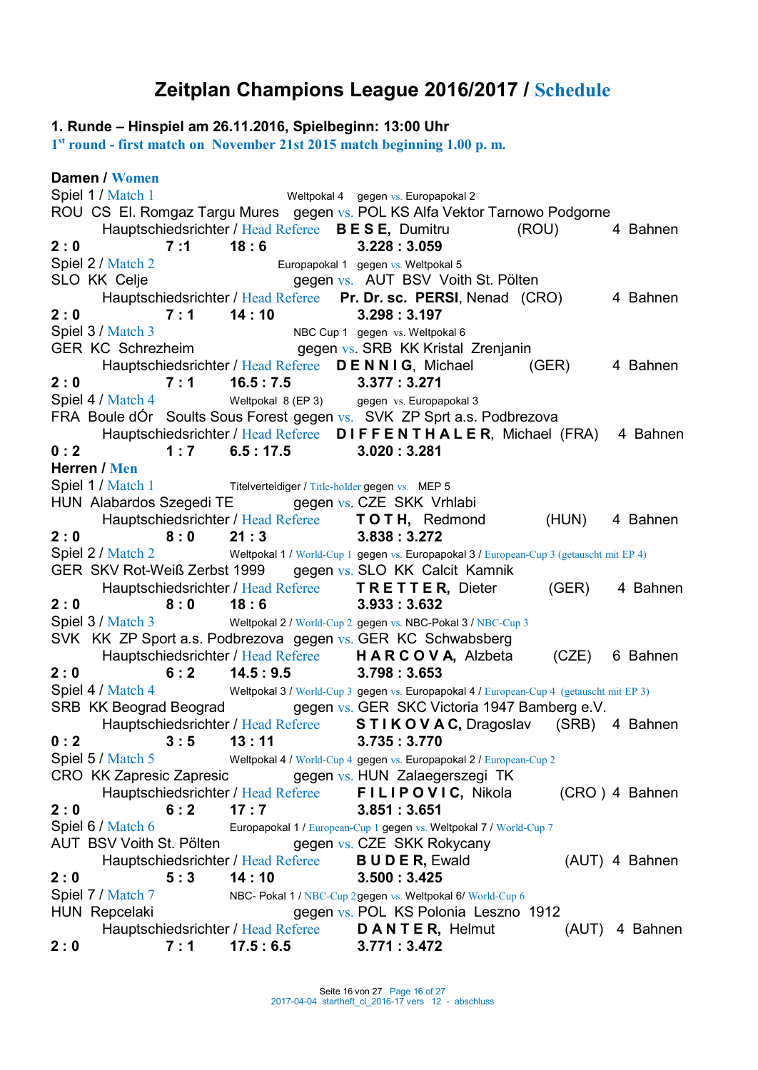## **Zeitplan Champions League 2016/2017 / Schedule**

## **1. Runde – Hinspiel am 26.11.2016, Spielbeginn: 13:00 Uhr 1 st round - first match on November 21st 2015 match beginning 1.00 p. m. Damen / Women** Weltpokal 4 gegen vs. Europapokal 2 ROU CS El. Romgaz Targu Mures gegen vs. POL KS Alfa Vektor Tarnowo Podgorne Hauptschiedsrichter / Head Referee **B E S E, Dumitru** (ROU) 4 Bahnen<br>7 · 1 · 18 · 6 · 3 · 3 · 3 · 3 **059 2 : 0 7 :1 18 : 6 3.228 : 3.059**  Spiel 2 / Match 2 Europapokal 1 gegen vs. Weltpokal 5 SLO KK Celje **gegen vs. AUT BSV Voith St. Pölten**  Hauptschiedsrichter / Head Referee **Pr. Dr. sc. PERSI**, Nenad (CRO) 4 Bahnen **2 : 0 7 : 1 14 : 10 3.298 : 3.197**  Spiel 3 / Match 3 NBC Cup 1 gegen vs. Weltpokal 6<br>
GER KC Schrezheim Gegen vs. SRB KK Kristal gegen vs. SRB KK Kristal Zrenjanin Hauptschiedsrichter / Head Referee **D E N N I G**, Michael (GER) 4 Bahnen **2 : 0 7 : 1 16.5 : 7.5 3.377 : 3.271**  Spiel 4 / Match 4 Weltpokal 8 (EP 3) gegen vs. Europapokal 3 FRA Boule dÓr Soults Sous Forest gegen vs. SVK ZP Sprt a.s. Podbrezova Hauptschiedsrichter / Head Referee **D I F F E N T H A L E R**, Michael (FRA) 4 Bahnen **0 : 2 1 : 7 6.5 : 17.5 3.020 : 3.281 Herren / Men** Spiel 1 / Match 1 Titelverteidiger / Title-holder gegen vs. MEP 5<br>HUN Alabardos Szegedi TE gegen vs. CZE SKK Vrh gegen vs. CZE SKK Vrhlabi<br>Feree **TOTH**. Redmond Hauptschiedsrichter / Head Referee **T O T H,** Redmond (HUN) 4 Bahnen **2 : 0 8 : 0 21 : 3 3.838 : 3.272**  Spiel 2 / Match 2 Weltpokal 1 / World-Cup 1 gegen vs. Europapokal 3 / European-Cup 3 (getauscht mit EP 4) GER SKV Rot-Weiß Zerbst 1999 gegen vs. SLO KK Calcit Kamnik Hauptschiedsrichter / Head Referee **TRETTER**, Dieter (GER) 4 Bahnen<br>2:0 8:0 18:6 3.933:3.632 **2 : 0 8 : 0 18 : 6 3.933 : 3.632**  Spiel 3 / Match 3 Weltpokal 2 / World-Cup 2 gegen vs. NBC-Pokal 3 / NBC-Cup 3 SVK KK ZP Sport a.s. Podbrezova gegen vs. GER KC Schwabsberg Hauptschiedsrichter / Head Referee **H A R C O V A,** Alzbeta (CZE) 6 Bahnen  **2 : 0 6 : 2 14.5 : 9.5 3.798 : 3.653**  Spiel 4 / Match 4 Weltpokal 3 / World-Cup 3 gegen vs. Europapokal 4 / European-Cup 4 (getauscht mit EP 3) SRB KK Beograd Beograd gegen vs. GER SKC Victoria 1947 Bamberg e.V. Hauptschiedsrichter / Head Referee **S T I K O V A C,** Dragoslav(SRB) 4 Bahnen **0 : 2 3 : 5 13 : 11 3.735 : 3.770**  Spiel 5 / Match 5 Weltpokal 4 / World-Cup 4 gegen vs. Europapokal 2 / European-Cup 2 CRO KK Zapresic Zapresic gegen vs. HUN Zalaegerszegi TK Hauptschiedsrichter / Head Referee **F I L I P O V I C,** Nikola (CRO ) 4 Bahnen **2 : 0 6 : 2 17 : 7 3.851 : 3.651**  Spiel 6 / Match 6 Europapokal 1 / European-Cup 1 gegen vs. Weltpokal 7 / World-Cup 7 AUT BSV Voith St. Pölten gegen vs. CZE SKK Rokycany<br>Hauptschiedsrichter / Head Referee **BUDER, Ewald**  Hauptschiedsrichter / Head Referee **B U D E R,** Ewald (AUT) 4 Bahnen  **2 : 0 5 : 3 14 : 10 3.500 : 3.425**  Spiel 7 / Match 7 NBC- Pokal 1 / NBC-Cup 2 gegen vs. Weltpokal 6/ World-Cup 6 HUN Repcelaki gegen vs. POL KS Polonia Leszno 1912<br>Hauptschiedsrichter / Head Referee **DANTER, Helmut** (AUT) 4 Bahnen Hauptschiedsrichter / Head Referee  **2 : 0 7 : 1 17.5 : 6.5 3.771 : 3.472**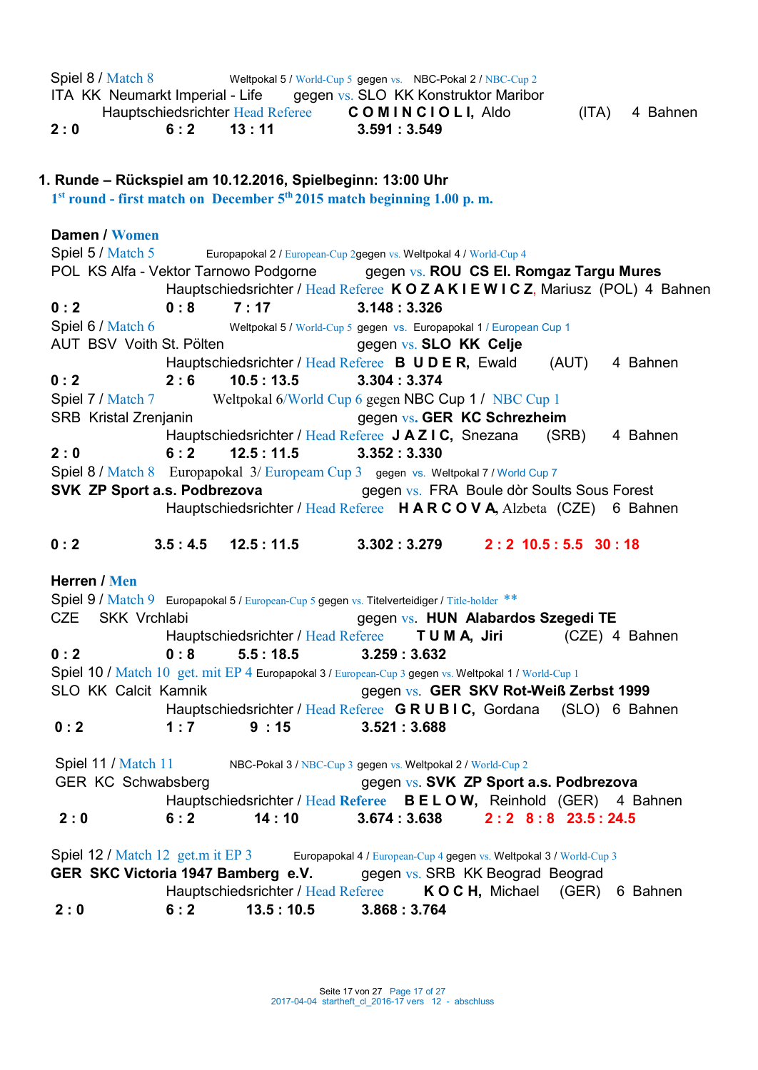| Spiel 8 / Match 8<br>ITA KK Neumarkt Imperial - Life                                                                                                                                   |                   |                                                                         | Weltpokal 5 / World-Cup 5 gegen vs. NBC-Pokal 2 / NBC-Cup 2<br>gegen vs. SLO KK Konstruktor Maribor<br>Hauptschiedsrichter Head Referee COMINCIOLI, Aldo                                                                                                                                                                                                                                                                                                                                                                                                                                                                                                                                                                                                       | (ITA)          | 4 Bahnen             |
|----------------------------------------------------------------------------------------------------------------------------------------------------------------------------------------|-------------------|-------------------------------------------------------------------------|----------------------------------------------------------------------------------------------------------------------------------------------------------------------------------------------------------------------------------------------------------------------------------------------------------------------------------------------------------------------------------------------------------------------------------------------------------------------------------------------------------------------------------------------------------------------------------------------------------------------------------------------------------------------------------------------------------------------------------------------------------------|----------------|----------------------|
| 2:0                                                                                                                                                                                    | 6:2               | 13:11                                                                   | 3.591:3.549                                                                                                                                                                                                                                                                                                                                                                                                                                                                                                                                                                                                                                                                                                                                                    |                |                      |
|                                                                                                                                                                                        |                   | 1. Runde – Rückspiel am 10.12.2016, Spielbeginn: 13:00 Uhr              | 1 <sup>st</sup> round - first match on December 5 <sup>th</sup> 2015 match beginning 1.00 p.m.                                                                                                                                                                                                                                                                                                                                                                                                                                                                                                                                                                                                                                                                 |                |                      |
| Damen / Women<br>Spiel 5 / Match 5<br>0:2<br>Spiel 6 / Match 6<br>AUT BSV Voith St. Pölten<br>0:2<br>Spiel 7 / Match 7<br>SRB Kristal Zrenjanin<br>2:0<br>SVK ZP Sport a.s. Podbrezova | 0:8<br>2:6<br>6:2 | POL KS Alfa - Vektor Tarnowo Podgorne<br>7:17<br>10.5:13.5<br>12.5:11.5 | Europapokal 2 / European-Cup 2gegen vs. Weltpokal 4 / World-Cup 4<br>gegen vs. ROU CS El. Romgaz Targu Mures<br>Hauptschiedsrichter / Head Referee KOZAKIEWICZ, Mariusz (POL) 4 Bahnen<br>3.148:3.326<br>Weltpokal 5 / World-Cup 5 gegen vs. Europapokal 1 / European Cup 1<br>gegen vs. SLO KK Celje<br>Hauptschiedsrichter / Head Referee <b>B UDER</b> , Ewald (AUT)<br>3.304:3.374<br>Weltpokal 6/World Cup 6 gegen NBC Cup 1 / NBC Cup 1<br>gegen vs. GER KC Schrezheim<br>Hauptschiedsrichter / Head Referee J AZIC, Snezana<br>3.352 : 3.330<br>Spiel 8 / Match 8 Europapokal 3/ Europeam Cup 3 gegen vs. Weltpokal 7 / World Cup 7<br>gegen vs. FRA Boule dòr Soults Sous Forest<br>Hauptschiedsrichter / Head Referee HARCOVA, Alzbeta (CZE) 6 Bahnen | (SRB)          | 4 Bahnen<br>4 Bahnen |
| 0:2                                                                                                                                                                                    | 3.5:4.5           | 12.5:11.5                                                               | 3.302:3.279<br>$2:2$ 10.5:5.5 30:18                                                                                                                                                                                                                                                                                                                                                                                                                                                                                                                                                                                                                                                                                                                            |                |                      |
| Herren / Men<br>CZE.<br>SKK Vrchlabi<br>0:2                                                                                                                                            | 0:8               | Hauptschiedsrichter / Head Referee<br>5.5:18.5                          | Spiel 9 / Match 9 Europapokal 5 / European-Cup 5 gegen vs. Titelverteidiger / Title-holder **<br>gegen vs. HUN Alabardos Szegedi TE<br>TUMA, Jiri<br>3.259 : 3.632<br>Spiel 10 / Match 10 get. mit EP 4 Europapokal 3 / European-Cup 3 gegen vs. Weltpokal 1 / World-Cup 1                                                                                                                                                                                                                                                                                                                                                                                                                                                                                     | (CZE) 4 Bahnen |                      |
| SLO KK Calcit Kamnik                                                                                                                                                                   |                   |                                                                         | gegen vs. GER SKV Rot-Weiß Zerbst 1999<br>Hauptschiedsrichter / Head Referee G R U B I C, Gordana (SLO) 6 Bahnen                                                                                                                                                                                                                                                                                                                                                                                                                                                                                                                                                                                                                                               |                |                      |
| 0:2                                                                                                                                                                                    | 1:7               | 9:15                                                                    | 3.521:3.688                                                                                                                                                                                                                                                                                                                                                                                                                                                                                                                                                                                                                                                                                                                                                    |                |                      |
| Spiel 11 / Match 11<br>GER KC Schwabsberg                                                                                                                                              |                   |                                                                         | NBC-Pokal 3 / NBC-Cup 3 gegen vs. Weltpokal 2 / World-Cup 2<br>gegen vs. SVK ZP Sport a.s. Podbrezova<br>Hauptschiedsrichter / Head Referee BELOW, Reinhold (GER) 4 Bahnen                                                                                                                                                                                                                                                                                                                                                                                                                                                                                                                                                                                     |                |                      |
| 2:0                                                                                                                                                                                    | 6:2               | 14:10                                                                   | $2:2$ 8:8 23.5:24.5<br>3.674:3.638                                                                                                                                                                                                                                                                                                                                                                                                                                                                                                                                                                                                                                                                                                                             |                |                      |
| Spiel 12 / Match 12 get.m it $EP$ 3<br>GER SKC Victoria 1947 Bamberg e.V.                                                                                                              |                   | Hauptschiedsrichter / Head Referee                                      | Europapokal 4 / European-Cup 4 gegen vs. Weltpokal 3 / World-Cup 3<br>gegen vs. SRB KK Beograd Beograd<br><b>KOCH, Michael</b>                                                                                                                                                                                                                                                                                                                                                                                                                                                                                                                                                                                                                                 |                | (GER) 6 Bahnen       |
| 2:0                                                                                                                                                                                    | 6:2               | 13.5:10.5                                                               | 3.868:3.764                                                                                                                                                                                                                                                                                                                                                                                                                                                                                                                                                                                                                                                                                                                                                    |                |                      |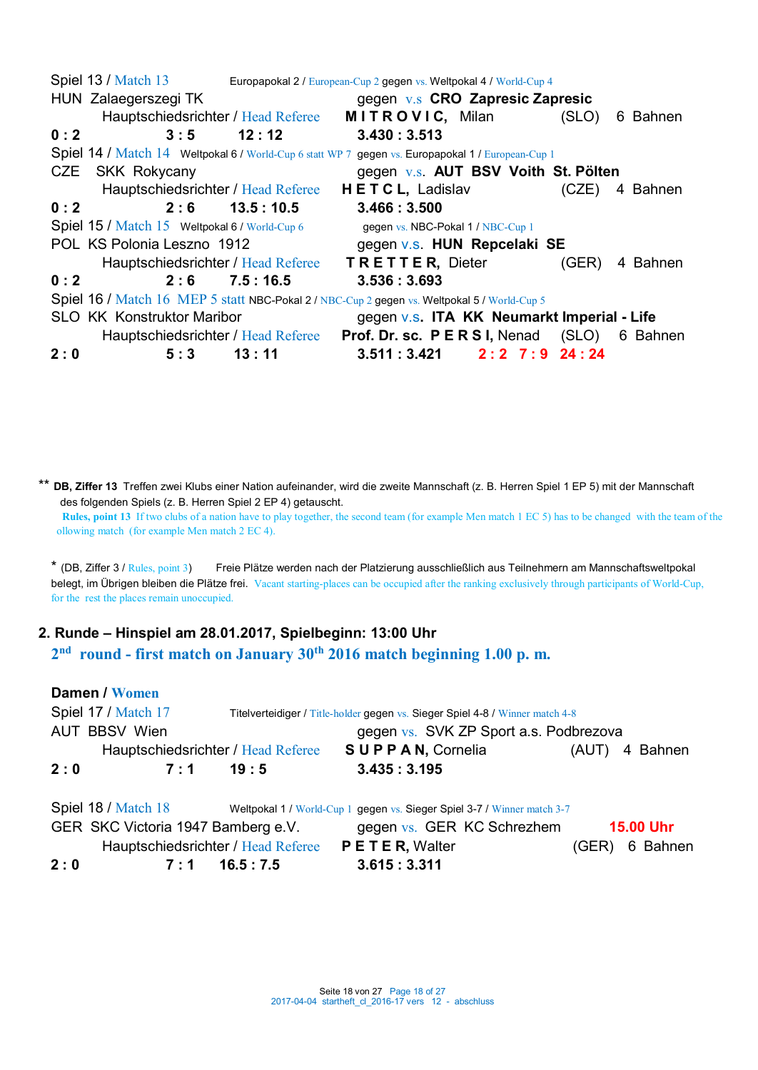| HUN Zalaegerszegi TK<br>gegen v.s CRO Zapresic Zapresic                                           |  |  |  |
|---------------------------------------------------------------------------------------------------|--|--|--|
|                                                                                                   |  |  |  |
| Hauptschiedsrichter / Head Referee MITROVIC, Milan<br>(SLO)<br>6 Bahnen                           |  |  |  |
| 3.430 : 3.513<br>3:5<br>12:12<br>0:2                                                              |  |  |  |
| Spiel 14 / Match 14 Weltpokal 6 / World-Cup 6 statt WP 7 gegen vs. Europapokal 1 / European-Cup 1 |  |  |  |
| gegen v.s. AUT BSV Voith St. Pölten<br>CZE SKK Rokycany                                           |  |  |  |
| Hauptschiedsrichter / Head Referee<br><b>HETCL, Ladislav</b><br>(CZE)<br>4 Bahnen                 |  |  |  |
| $2:6$ 13.5:10.5<br>3.466 : 3.500<br>0:2                                                           |  |  |  |
| Spiel 15 / Match 15 Weltpokal 6 / World-Cup 6<br>gegen vs. NBC-Pokal 1 / NBC-Cup 1                |  |  |  |
| POL KS Polonia Leszno 1912<br>gegen v.s. HUN Repcelaki SE                                         |  |  |  |
| <b>TRETTER, Dieter</b><br>Hauptschiedsrichter / Head Referee<br>(GER)<br>4 Bahnen                 |  |  |  |
| 3.536 : 3.693<br>$2:6$ 7.5:16.5<br>0:2                                                            |  |  |  |
| Spiel 16 / Match 16 MEP 5 statt NBC-Pokal 2 / NBC-Cup 2 gegen vs. Weltpokal 5 / World-Cup 5       |  |  |  |
| <b>SLO KK Konstruktor Maribor</b><br>gegen v.s. ITA KK Neumarkt Imperial - Life                   |  |  |  |
| <b>Prof. Dr. sc. PERSI, Nenad (SLO) 6 Bahnen</b><br>Hauptschiedsrichter / Head Referee            |  |  |  |
| $2:2$ 7:9 24:24<br>3.511:3.421<br>2:0<br>13:11<br>5:3                                             |  |  |  |

\*\* **DB, Ziffer 13** Treffen zwei Klubs einer Nation aufeinander, wird die zweite Mannschaft (z. B. Herren Spiel 1 EP 5) mit der Mannschaft des folgenden Spiels (z. B. Herren Spiel 2 EP 4) getauscht.

 **Rules, point 13** If two clubs of a nation have to play together, the second team (for example Men match 1 EC 5) has to be changed with the team of the ollowing match (for example Men match 2 EC 4).

\* (DB, Ziffer 3 / Rules, point 3) Freie Plätze werden nach der Platzierung ausschließlich aus Teilnehmern am Mannschaftsweltpokal belegt, im Übrigen bleiben die Plätze frei. Vacant starting-places can be occupied after the ranking exclusively through participants of World-Cup, for the rest the places remain unoccupied.

## **2. Runde – Hinspiel am 28.01.2017, Spielbeginn: 13:00 Uhr**

**2 nd round - first match on January 30th 2016 match beginning 1.00 p. m.** 

### **Damen / Women**

| Spiel 17 / Match 17                |     | Titelverteidiger / Title-holder gegen vs. Sieger Spiel 4-8 / Winner match 4-8 |                                                                         |                   |  |
|------------------------------------|-----|-------------------------------------------------------------------------------|-------------------------------------------------------------------------|-------------------|--|
| <b>AUT BBSV Wien</b>               |     | gegen vs. SVK ZP Sport a.s. Podbrezova                                        |                                                                         |                   |  |
|                                    |     | Hauptschiedsrichter / Head Referee                                            | SUPPAN, Cornelia                                                        | 4 Bahnen<br>(AUT) |  |
| 2:0                                | 7:1 | 19:5                                                                          | 3.435:3.195                                                             |                   |  |
| Spiel 18 / Match 18                |     |                                                                               | Weltpokal 1 / World-Cup 1 gegen vs. Sieger Spiel 3-7 / Winner match 3-7 |                   |  |
| GER SKC Victoria 1947 Bamberg e.V. |     |                                                                               | gegen vs. GER KC Schrezhem                                              | <b>15.00 Uhr</b>  |  |
|                                    |     | Hauptschiedsrichter / Head Referee                                            | <b>PETER, Walter</b>                                                    | 6 Bahnen<br>(GER) |  |
| 2:0                                | 7:1 | 16.5:7.5                                                                      | 3.615:3.311                                                             |                   |  |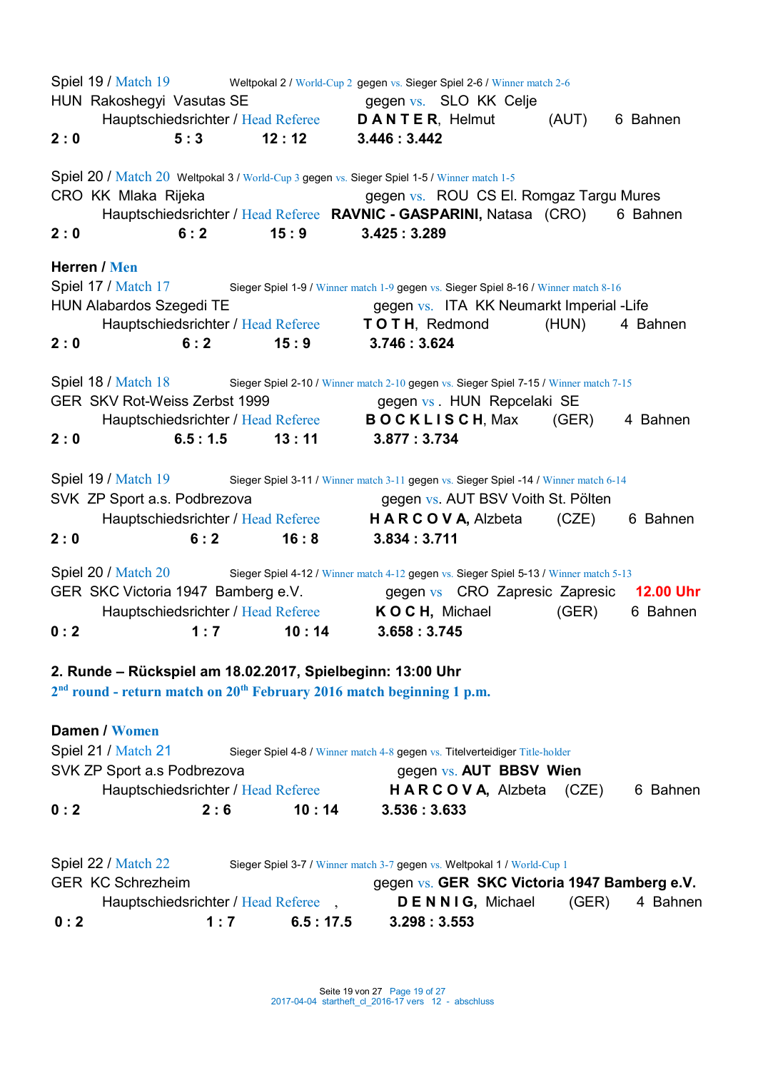| Spiel 19 / Match 19<br>HUN Rakoshegyi Vasutas SE                                                                                                            |                                           |          | Weltpokal 2 / World-Cup 2 gegen vs. Sieger Spiel 2-6 / Winner match 2-6<br>gegen vs. SLO KK Celje                                                                                                                      |       |                  |
|-------------------------------------------------------------------------------------------------------------------------------------------------------------|-------------------------------------------|----------|------------------------------------------------------------------------------------------------------------------------------------------------------------------------------------------------------------------------|-------|------------------|
|                                                                                                                                                             |                                           |          | Hauptschiedsrichter / Head Referee DANTER, Helmut                                                                                                                                                                      | (AUT) | 6 Bahnen         |
| 2:0                                                                                                                                                         | 5:3                                       | 12:12    | 3.446:3.442                                                                                                                                                                                                            |       |                  |
| CRO KK Mlaka Rijeka                                                                                                                                         |                                           |          | Spiel 20 / Match 20 Weltpokal 3 / World-Cup 3 gegen vs. Sieger Spiel 1-5 / Winner match 1-5<br>gegen vs. ROU CS El. Romgaz Targu Mures<br>Hauptschiedsrichter / Head Referee RAVNIC - GASPARINI, Natasa (CRO) 6 Bahnen |       |                  |
| 2:0                                                                                                                                                         | 6:2                                       | 15:9     | 3.425 : 3.289                                                                                                                                                                                                          |       |                  |
| Herren / Men<br>Spiel 17 / Match 17<br><b>HUN Alabardos Szegedi TE</b><br>2:0                                                                               | Hauptschiedsrichter / Head Referee<br>6:2 | 15:9     | Sieger Spiel 1-9 / Winner match 1-9 gegen vs. Sieger Spiel 8-16 / Winner match 8-16<br>gegen vs. ITA KK Neumarkt Imperial - Life<br><b>TOTH</b> , Redmond<br>3.746 : 3.624                                             | (HUN) | 4 Bahnen         |
| Spiel 18 / Match 18                                                                                                                                         |                                           |          | Sieger Spiel 2-10 / Winner match 2-10 gegen vs. Sieger Spiel 7-15 / Winner match 7-15                                                                                                                                  |       |                  |
| GER SKV Rot-Weiss Zerbst 1999                                                                                                                               |                                           |          | gegen vs . HUN Repcelaki SE                                                                                                                                                                                            |       |                  |
|                                                                                                                                                             |                                           |          | Hauptschiedsrichter / Head Referee BOCKLISCH, Max (GER)                                                                                                                                                                |       | 4 Bahnen         |
| 2:0                                                                                                                                                         | 6.5:1.5                                   | 13:11    | 3.877:3.734                                                                                                                                                                                                            |       |                  |
| SVK ZP Sport a.s. Podbrezova<br>2:0                                                                                                                         | Hauptschiedsrichter / Head Referee<br>6:2 | 16:8     | Spiel 19 / Match 19 Sieger Spiel 3-11 / Winner match 3-11 gegen vs. Sieger Spiel -14 / Winner match 6-14<br>gegen vs. AUT BSV Voith St. Pölten<br><b>HARCOVA, Alzbeta</b> (CZE)<br>3.834:3.711                         |       | 6 Bahnen         |
| Spiel 20 / Match 20                                                                                                                                         |                                           |          | Sieger Spiel 4-12 / Winner match 4-12 gegen vs. Sieger Spiel 5-13 / Winner match 5-13                                                                                                                                  |       |                  |
| GER SKC Victoria 1947 Bamberg e.V.                                                                                                                          |                                           |          | gegen vs CRO Zapresic Zapresic                                                                                                                                                                                         |       | <b>12.00 Uhr</b> |
|                                                                                                                                                             | Hauptschiedsrichter / Head Referee        |          | <b>KOCH, Michael</b>                                                                                                                                                                                                   | (GER) | 6 Bahnen         |
| 0:2                                                                                                                                                         | 1:7                                       | 10:14    | 3.658:3.745                                                                                                                                                                                                            |       |                  |
| 2. Runde - Rückspiel am 18.02.2017, Spielbeginn: 13:00 Uhr<br>2 <sup>nd</sup> round - return match on 20 <sup>th</sup> February 2016 match beginning 1 p.m. |                                           |          |                                                                                                                                                                                                                        |       |                  |
| Damen / Women                                                                                                                                               |                                           |          |                                                                                                                                                                                                                        |       |                  |
| Spiel 21 / Match 21                                                                                                                                         |                                           |          | Sieger Spiel 4-8 / Winner match 4-8 gegen vs. Titelverteidiger Title-holder                                                                                                                                            |       |                  |
| SVK ZP Sport a.s Podbrezova                                                                                                                                 | Hauptschiedsrichter / Head Referee        |          | gegen vs. AUT BBSV Wien<br>H A R C O V A, Alzbeta (CZE)                                                                                                                                                                |       | 6 Bahnen         |
| 0:2                                                                                                                                                         | 2:6                                       | 10:14    | 3.536 : 3.633                                                                                                                                                                                                          |       |                  |
|                                                                                                                                                             |                                           |          |                                                                                                                                                                                                                        |       |                  |
| Spiel 22 / Match 22                                                                                                                                         |                                           |          | Sieger Spiel 3-7 / Winner match 3-7 gegen vs. Weltpokal 1 / World-Cup 1                                                                                                                                                |       |                  |
| <b>GER KC Schrezheim</b>                                                                                                                                    | Hauptschiedsrichter / Head Referee,       |          | gegen vs. GER SKC Victoria 1947 Bamberg e.V.<br><b>DENNIG, Michael</b>                                                                                                                                                 | (GER) | 4 Bahnen         |
| 0:2                                                                                                                                                         | 1:7                                       | 6.5:17.5 | 3.298:3.553                                                                                                                                                                                                            |       |                  |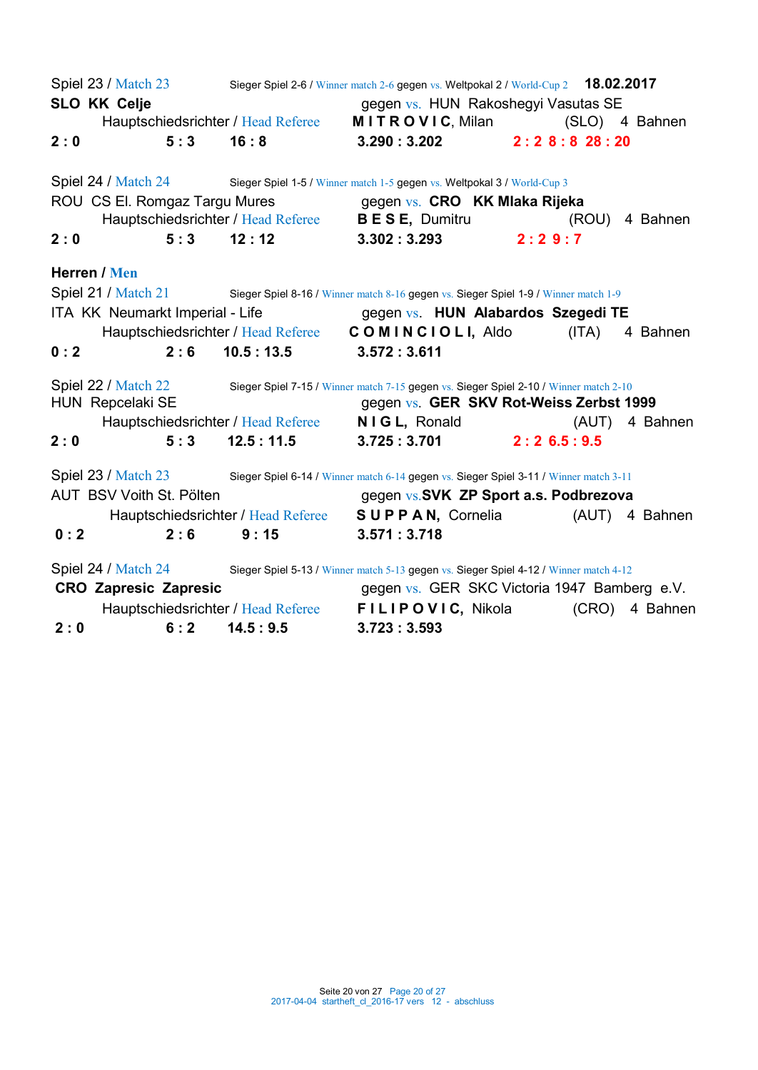| <b>Spiel 23 / Match 23</b>                                                                                                                                                  |                                                                                                                                                                                           | Sieger Spiel 2-6 / Winner match 2-6 gegen vs. Weltpokal 2 / World-Cup 2 <b>18.02.2017</b> |                                                                                                         |                                        |  |
|-----------------------------------------------------------------------------------------------------------------------------------------------------------------------------|-------------------------------------------------------------------------------------------------------------------------------------------------------------------------------------------|-------------------------------------------------------------------------------------------|---------------------------------------------------------------------------------------------------------|----------------------------------------|--|
| <b>SLO KK Celje</b>                                                                                                                                                         |                                                                                                                                                                                           |                                                                                           | gegen vs. HUN Rakoshegyi Vasutas SE                                                                     |                                        |  |
|                                                                                                                                                                             |                                                                                                                                                                                           | Hauptschiedsrichter / Head Referee                                                        | <b>MITROVIC, Milan</b>                                                                                  | (SLO) 4 Bahnen                         |  |
| 2:0                                                                                                                                                                         | 5:3                                                                                                                                                                                       | 16:8                                                                                      | 3.290:3.202                                                                                             | 2:28:828:20                            |  |
|                                                                                                                                                                             |                                                                                                                                                                                           |                                                                                           |                                                                                                         |                                        |  |
| Spiel 24 / Match 24 Sieger Spiel 1-5 / Winner match 1-5 gegen vs. Weltpokal 3 / World-Cup 3                                                                                 |                                                                                                                                                                                           |                                                                                           |                                                                                                         |                                        |  |
|                                                                                                                                                                             |                                                                                                                                                                                           |                                                                                           | ROU CS El. Romgaz Targu Mures gegen vs. CRO KK Mlaka Rijeka                                             |                                        |  |
|                                                                                                                                                                             |                                                                                                                                                                                           |                                                                                           | Hauptschiedsrichter / Head Referee BESE, Dumitru                                                        | (ROU)<br>4 Bahnen                      |  |
| 2:0                                                                                                                                                                         | 5:3                                                                                                                                                                                       | 12:12                                                                                     | 3.302 : 3.293                                                                                           | 2:29:7                                 |  |
|                                                                                                                                                                             |                                                                                                                                                                                           |                                                                                           |                                                                                                         |                                        |  |
| Herren / Men                                                                                                                                                                |                                                                                                                                                                                           |                                                                                           |                                                                                                         |                                        |  |
|                                                                                                                                                                             |                                                                                                                                                                                           |                                                                                           | Spiel 21 / Match 21 Sieger Spiel 8-16 / Winner match 8-16 gegen vs. Sieger Spiel 1-9 / Winner match 1-9 |                                        |  |
|                                                                                                                                                                             |                                                                                                                                                                                           | ITA KK Neumarkt Imperial - Life                                                           |                                                                                                         | gegen vs. HUN Alabardos Szegedi TE     |  |
|                                                                                                                                                                             |                                                                                                                                                                                           | Hauptschiedsrichter / Head Referee                                                        | <b>COMINCIOLI, Aldo</b>                                                                                 | (ITA)<br>4 Bahnen                      |  |
| 0:2                                                                                                                                                                         | 2:6                                                                                                                                                                                       | 10.5:13.5                                                                                 | 3.572:3.611                                                                                             |                                        |  |
| Spiel 22 / Match 22<br>Sieger Spiel 7-15 / Winner match 7-15 gegen vs. Sieger Spiel 2-10 / Winner match 2-10<br>HUN Repcelaki SE<br>gegen vs. GER SKV Rot-Weiss Zerbst 1999 |                                                                                                                                                                                           |                                                                                           |                                                                                                         |                                        |  |
|                                                                                                                                                                             |                                                                                                                                                                                           | Hauptschiedsrichter / Head Referee                                                        | <b>NIGL, Ronald</b>                                                                                     | (AUT)<br>4 Bahnen                      |  |
| 2:0                                                                                                                                                                         | 5:3                                                                                                                                                                                       | 12.5:11.5                                                                                 | 3.725:3.701                                                                                             | 2:26.5:9.5                             |  |
|                                                                                                                                                                             |                                                                                                                                                                                           |                                                                                           |                                                                                                         |                                        |  |
| Spiel 23 / Match 23                                                                                                                                                         |                                                                                                                                                                                           |                                                                                           | Sieger Spiel 6-14 / Winner match 6-14 gegen vs. Sieger Spiel 3-11 / Winner match 3-11                   |                                        |  |
| AUT BSV Voith St. Pölten                                                                                                                                                    |                                                                                                                                                                                           |                                                                                           |                                                                                                         | gegen vs.SVK ZP Sport a.s. Podbrezova  |  |
|                                                                                                                                                                             |                                                                                                                                                                                           | Hauptschiedsrichter / Head Referee                                                        |                                                                                                         | <b>SUPPAN, Cornelia</b> (AUT) 4 Bahnen |  |
| 0:2                                                                                                                                                                         | 2:6                                                                                                                                                                                       | 9:15                                                                                      | 3.571:3.718                                                                                             |                                        |  |
|                                                                                                                                                                             |                                                                                                                                                                                           |                                                                                           |                                                                                                         |                                        |  |
|                                                                                                                                                                             | Spiel 24 / Match 24 Sieger Spiel 5-13 / Winner match 5-13 gegen vs. Sieger Spiel 4-12 / Winner match 4-12<br><b>CRO Zapresic Zapresic</b><br>gegen vs. GER SKC Victoria 1947 Bamberg e.V. |                                                                                           |                                                                                                         |                                        |  |
|                                                                                                                                                                             |                                                                                                                                                                                           | Hauptschiedsrichter / Head Referee                                                        | <b>FILIPOVIC.</b> Nikola                                                                                | (CRO) 4 Bahnen                         |  |
|                                                                                                                                                                             |                                                                                                                                                                                           |                                                                                           |                                                                                                         |                                        |  |
| 2:0                                                                                                                                                                         | 6:2                                                                                                                                                                                       | 14.5:9.5                                                                                  | 3.723 : 3.593                                                                                           |                                        |  |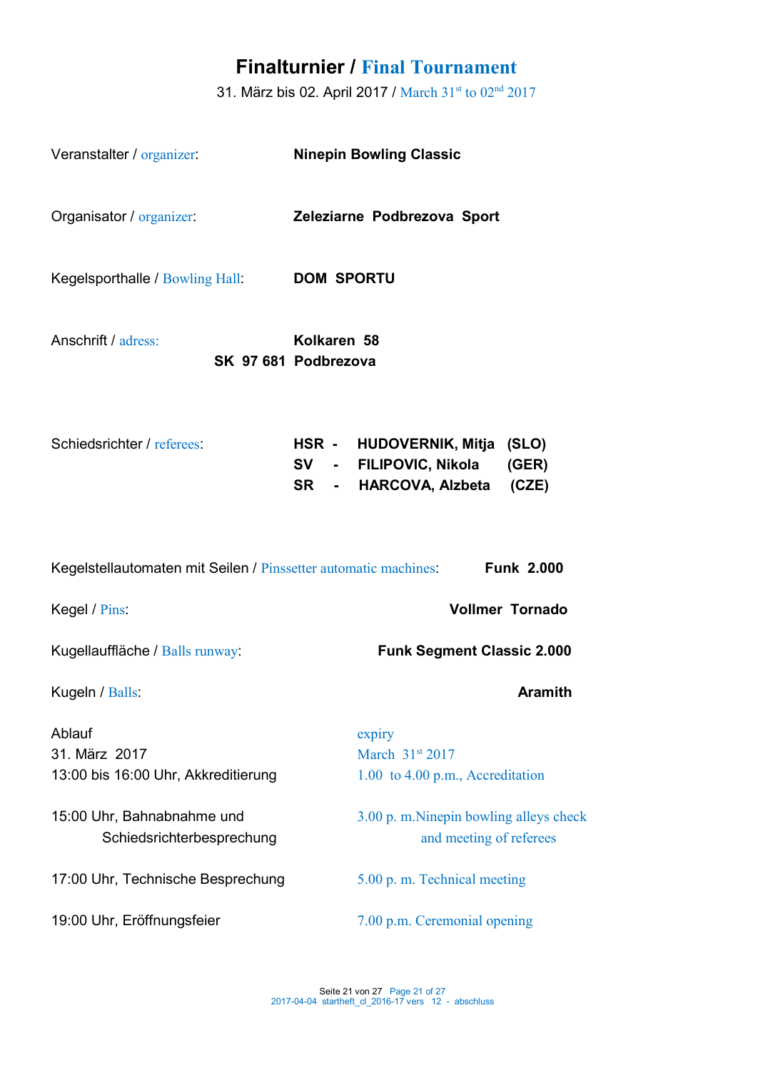## **Finalturnier / Final Tournament**

31. März bis 02. April 2017 / March 31st to 02<sup>nd</sup> 2017

| Veranstalter / organizer                                        | <b>Ninepin Bowling Classic</b>                                                                                  |  |  |  |
|-----------------------------------------------------------------|-----------------------------------------------------------------------------------------------------------------|--|--|--|
| Organisator / organizer:                                        | Zeleziarne Podbrezova Sport                                                                                     |  |  |  |
| Kegelsporthalle / Bowling Hall:                                 | <b>DOM SPORTU</b>                                                                                               |  |  |  |
| Anschrift / adress:                                             | Kolkaren 58<br>SK 97 681 Podbrezova                                                                             |  |  |  |
| Schiedsrichter / referees:                                      | HSR -<br>HUDOVERNIK, Mitja (SLO)<br>SV - FILIPOVIC, Nikola<br>(GER)<br><b>SR</b><br>- HARCOVA, Alzbeta<br>(CZE) |  |  |  |
| Kegelstellautomaten mit Seilen / Pinssetter automatic machines: | Funk 2.000                                                                                                      |  |  |  |
| Kegel / Pins:                                                   | <b>Vollmer Tornado</b>                                                                                          |  |  |  |
| Kugellauffläche / Balls runway:                                 | <b>Funk Segment Classic 2.000</b>                                                                               |  |  |  |
| Kugeln / Balls:                                                 | <b>Aramith</b>                                                                                                  |  |  |  |
| Ablauf<br>31. März 2017<br>13:00 bis 16:00 Uhr, Akkreditierung  | expiry<br>March 31st 2017<br>1.00 to 4.00 p.m., Accreditation                                                   |  |  |  |
| 15:00 Uhr, Bahnabnahme und<br>Schiedsrichterbesprechung         | 3.00 p. m.Ninepin bowling alleys check<br>and meeting of referees                                               |  |  |  |
| 17:00 Uhr, Technische Besprechung                               | 5.00 p.m. Technical meeting                                                                                     |  |  |  |
| 19:00 Uhr, Eröffnungsfeier                                      | 7.00 p.m. Ceremonial opening                                                                                    |  |  |  |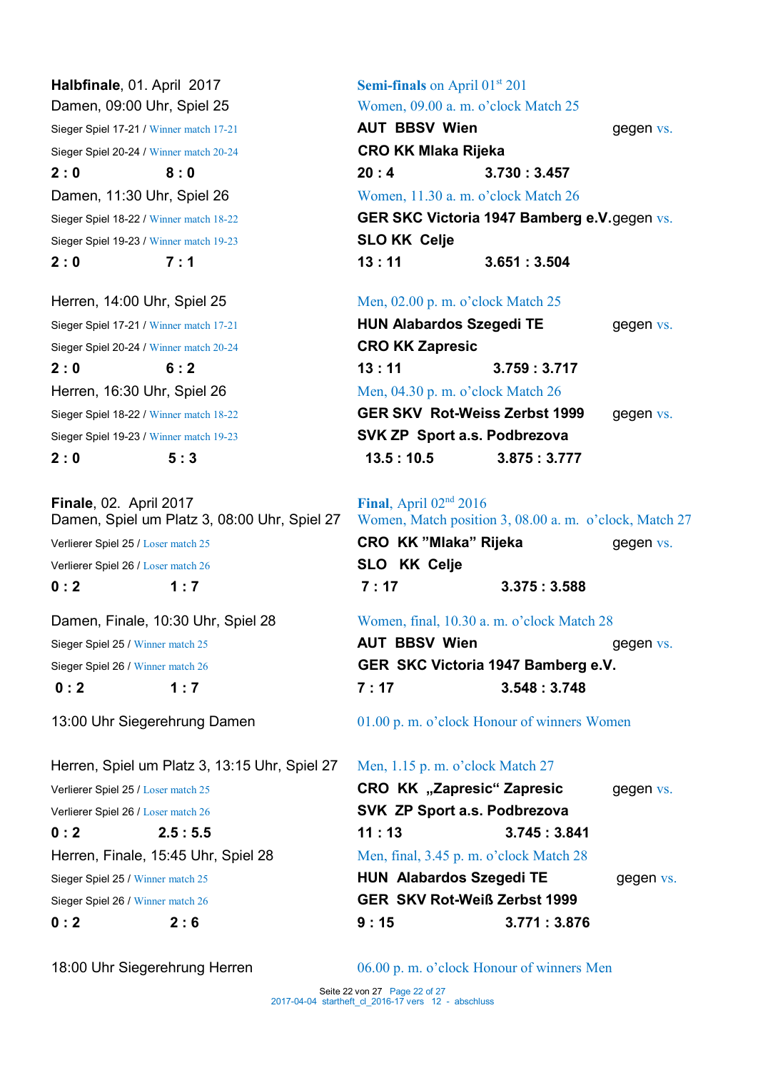## **Halbfinale**, 01. April 2017 **Semi-finals** on April 01<sup>st</sup> 201

Sieger Spiel 20-24 / Winner match 20-24 **CRO KK Mlaka Rijeka** 

Sieger Spiel 19-23 / Winner match 19-23 **SLO KK Celje** 

Sieger Spiel 20-24 / Winner match 20-24 **C** Herren, 16:30 Uhr, Spiel 26 Men, 04.30 p.m. o'clock Match 26

**Finale, 02. April 2017 Final, April 02**<sup>nd</sup> 2016<br>Damen, Spiel um Platz 3, 08:00 Uhr, Spiel 27 Women, Match positic

Verlierer Spiel 26 / Loser match 26 **SLO KK Celje** 

## Herren, Spiel um Platz 3, 13:15 Uhr, Spiel 27 Men, 1.15 p. m. o'clock Match 27

Sieger Spiel 25 / Winner match 25 **HUN Alabardos Szegedi TE gegen** vs.

## Damen, 09:00 Uhr, Spiel 25 Women, 09.00 a. m. o'clock Match 25

Sieger Spiel 17-21 / Winner match 17-21 **AUT BBSV Wien** gegen vs.  $2 \cdot 0$  8  $\cdot 0$  20  $\cdot 4$  3.730  $\cdot 3.457$ Damen, 11:30 Uhr, Spiel 26 Women, 11.30 a. m. o'clock Match 26 Sieger Spiel 18-22 / Winner match 18-22 **GER SKC Victoria 1947 Bamberg e.V.** gegen vs. **2 : 0 7 : 1 13 : 11 3.651 : 3.504** 

### Herren, 14:00 Uhr, Spiel 25 Men, 02.00 p. m. o'clock Match 25

| Sieger Spiel 17-21 / Winner match 17-21<br>Sieger Spiel 20-24 / Winner match 20-24 |     | <b>HUN Alabardos Szegedi TE</b> | gegen vs.   |  |
|------------------------------------------------------------------------------------|-----|---------------------------------|-------------|--|
|                                                                                    |     | <b>CRO KK Zapresic</b>          |             |  |
| 2:0                                                                                | 6:2 | 13:11                           | 3.759:3.717 |  |

Sieger Spiel 18-22 / Winner match 18-22 **GER SKV Rot-Weiss Zerbst 1999** gegen vs. Sieger Spiel 19-23 / Winner match 19-23 **SVK ZP Sport a.s. Podbrezova 2 : 0 5 : 3 13.5 : 10.5 3.875 : 3.777**

Women, Match position 3, 08.00 a. m. o'clock, Match 27 Verlierer Spiel 25 / Loser match 25 **CRO KK "Mlaka" Rijeka** gegen vs. **0 : 2 1 : 7 7 : 17 3.375 : 3.588** 

### Damen, Finale, 10:30 Uhr, Spiel 28 Women, final, 10.30 a. m. o'clock Match 28

Sieger Spiel 25 / Winner match 25 **AUT BBSV Wien** gegen vs. Sieger Spiel 26 / Winner match 26 **GER SKC Victoria 1947 Bamberg e.V. 0 : 2 1 : 7 : 7 : 17 17 3.548 : 3.748** 

13:00 Uhr Siegerehrung Damen 01.00 p. m. o'clock Honour of winners Women

Verlierer Spiel 25 / Loser match 25 **CRO KK "Zapresic" Zapresic** gegen vs. Verlierer Spiel 26 / Loser match 26 **SVK ZP Sport a.s. Podbrezova 0 : 2 2.5 : 5.5 11 : 13 3.745 : 3.841**  Herren, Finale, 15:45 Uhr, Spiel 28 Men, final, 3.45 p.m. o'clock Match 28

Sieger Spiel 26 / Winner match 26 **GER SKV Rot-Weiß Zerbst 1999 0 : 2 2 : 6 9 : 15 3.771 : 3.876** 

### 18:00 Uhr Siegerehrung Herren 06.00 p. m. o'clock Honour of winners Men

Seite 22 von 27 Page 22 of 27 2017-04-04 startheft\_cl\_2016-17 vers 12 - abschluss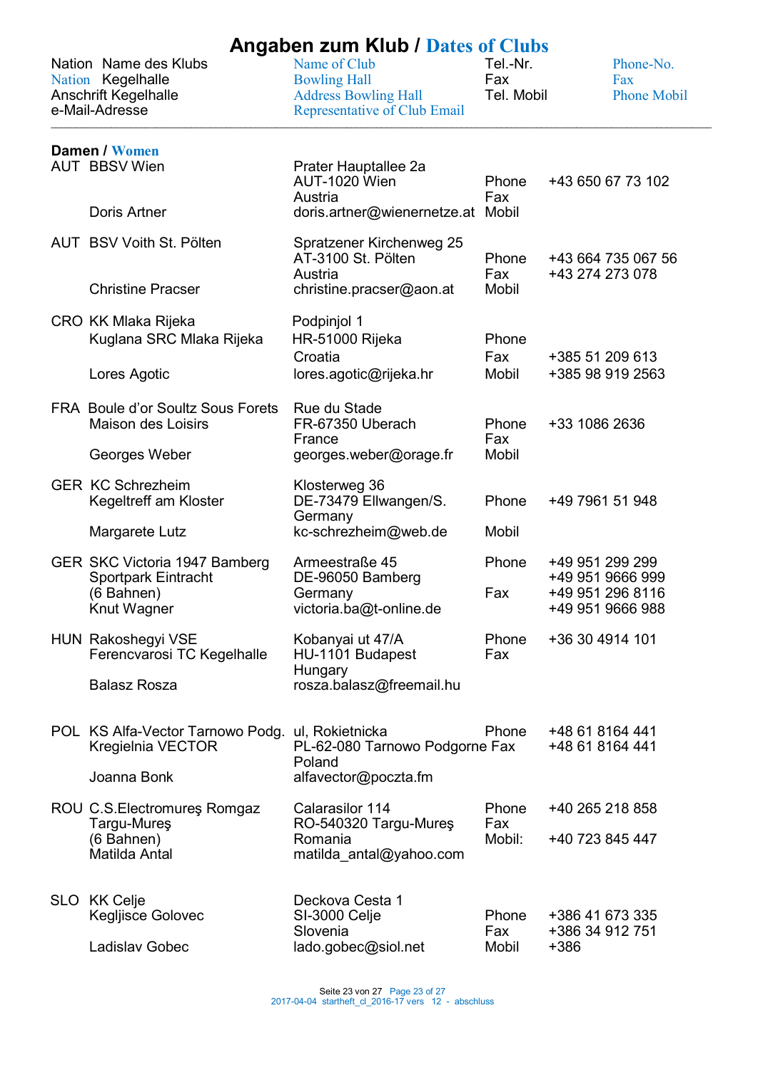| <b>Angaben zum Klub / Dates of Clubs</b> |                                                                                      |                                                                                                    |                               |                                                                             |  |  |
|------------------------------------------|--------------------------------------------------------------------------------------|----------------------------------------------------------------------------------------------------|-------------------------------|-----------------------------------------------------------------------------|--|--|
|                                          | Nation Name des Klubs<br>Nation Kegelhalle<br>Anschrift Kegelhalle<br>e-Mail-Adresse | Name of Club<br><b>Bowling Hall</b><br><b>Address Bowling Hall</b><br>Representative of Club Email | Tel.-Nr.<br>Fax<br>Tel. Mobil | Phone-No.<br>Fax<br><b>Phone Mobil</b>                                      |  |  |
|                                          | Damen / Women<br>AUT BBSV Wien                                                       | Prater Hauptallee 2a<br>AUT-1020 Wien<br>Austria                                                   | Phone<br>Fax                  | +43 650 67 73 102                                                           |  |  |
|                                          | Doris Artner                                                                         | doris.artner@wienernetze.at Mobil                                                                  |                               |                                                                             |  |  |
|                                          | AUT BSV Voith St. Pölten                                                             | Spratzener Kirchenweg 25<br>AT-3100 St. Pölten<br>Austria                                          | Phone<br>Fax                  | +43 664 735 067 56<br>+43 274 273 078                                       |  |  |
|                                          | <b>Christine Pracser</b>                                                             | christine.pracser@aon.at                                                                           | Mobil                         |                                                                             |  |  |
|                                          | CRO KK Mlaka Rijeka<br>Kuglana SRC Mlaka Rijeka                                      | Podpinjol 1<br>HR-51000 Rijeka<br>Croatia                                                          | Phone<br>Fax                  | +385 51 209 613                                                             |  |  |
|                                          | Lores Agotic                                                                         | lores.agotic@rijeka.hr                                                                             | Mobil                         | +385 98 919 2563                                                            |  |  |
|                                          | FRA Boule d'or Soultz Sous Forets<br>Maison des Loisirs                              | Rue du Stade<br>FR-67350 Uberach<br>France                                                         | Phone<br>Fax                  | +33 1086 2636                                                               |  |  |
|                                          | Georges Weber                                                                        | georges.weber@orage.fr                                                                             | Mobil                         |                                                                             |  |  |
|                                          | <b>GER KC Schrezheim</b><br>Kegeltreff am Kloster                                    | Klosterweg 36<br>DE-73479 Ellwangen/S.<br>Germany                                                  | Phone                         | +49 7961 51 948                                                             |  |  |
|                                          | Margarete Lutz                                                                       | kc-schrezheim@web.de                                                                               | Mobil                         |                                                                             |  |  |
|                                          | GER SKC Victoria 1947 Bamberg<br>Sportpark Eintracht<br>(6 Bahnen)<br>Knut Wagner    | Armeestraße 45<br>DE-96050 Bamberg<br>Germany<br>victoria.ba@t-online.de                           | Phone<br>Fax                  | +49 951 299 299<br>+49 951 9666 999<br>+49 951 296 8116<br>+49 951 9666 988 |  |  |
|                                          | <b>HUN Rakoshegyi VSE</b><br>Ferencvarosi TC Kegelhalle                              | Kobanyai ut 47/A<br>HU-1101 Budapest                                                               | Phone<br>Fax                  | +36 30 4914 101                                                             |  |  |
|                                          | Balasz Rosza                                                                         | Hungary<br>rosza.balasz@freemail.hu                                                                |                               |                                                                             |  |  |
|                                          | POL KS Alfa-Vector Tarnowo Podg.<br>Kregielnia VECTOR                                | ul, Rokietnicka<br>PL-62-080 Tarnowo Podgorne Fax<br>Poland                                        | Phone                         | +48 61 8164 441<br>+48 61 8164 441                                          |  |  |
|                                          | Joanna Bonk                                                                          | alfavector@poczta.fm                                                                               |                               |                                                                             |  |  |
|                                          | ROU C.S.Electromureş Romgaz<br>Targu-Mureş                                           | Calarasilor 114<br>RO-540320 Targu-Mures                                                           | Phone<br>Fax                  | +40 265 218 858                                                             |  |  |
|                                          | (6 Bahnen)<br>Matilda Antal                                                          | Romania<br>matilda_antal@yahoo.com                                                                 | Mobil:                        | +40 723 845 447                                                             |  |  |
|                                          | SLO KK Celje<br>Kegljisce Golovec                                                    | Deckova Cesta 1<br>SI-3000 Celje<br>Slovenia                                                       | Phone<br>Fax                  | +386 41 673 335<br>+386 34 912 751                                          |  |  |
|                                          | Ladislav Gobec                                                                       | lado.gobec@siol.net                                                                                | Mobil                         | +386                                                                        |  |  |

Seite 23 von 27 Page 23 of 27 2017-04-04 startheft\_cl\_2016-17 vers 12 - abschluss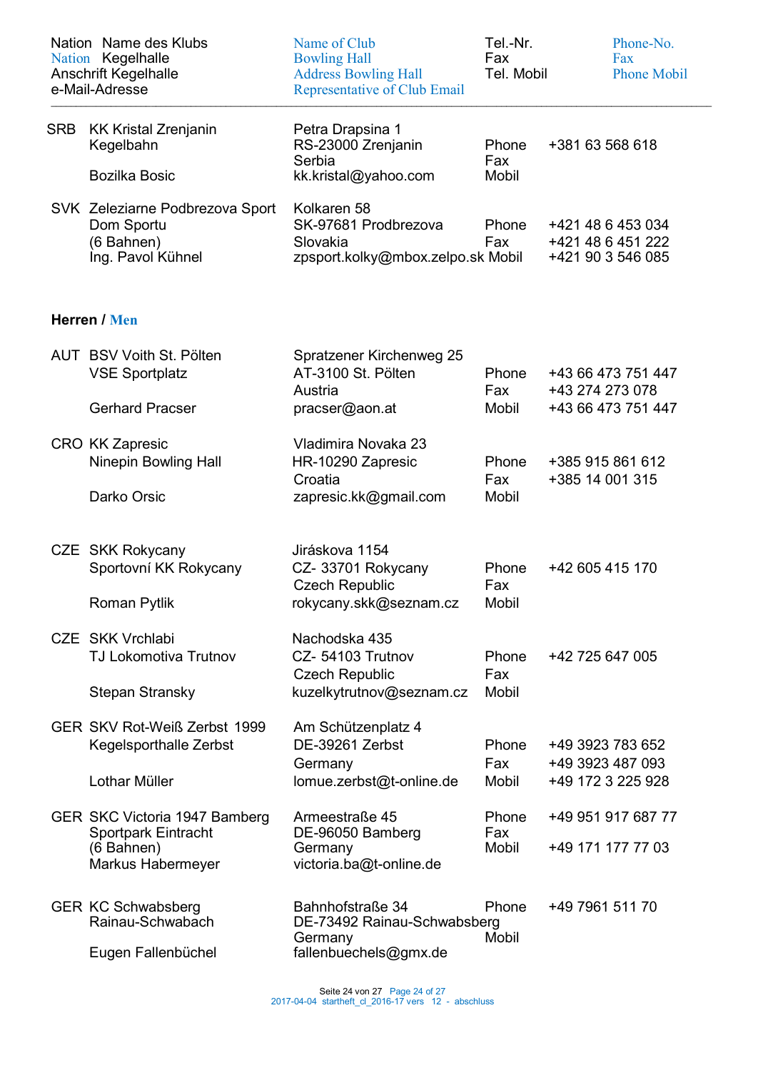|     | Nation Name des Klubs<br>Nation Kegelhalle<br>Anschrift Kegelhalle<br>e-Mail-Adresse    | Name of Club<br><b>Bowling Hall</b><br><b>Address Bowling Hall</b><br>Representative of Club Email | Tel.-Nr.<br>Fax<br>Tel. Mobil | Phone-No.<br>Fax<br><b>Phone Mobil</b>                      |
|-----|-----------------------------------------------------------------------------------------|----------------------------------------------------------------------------------------------------|-------------------------------|-------------------------------------------------------------|
| SRB | <b>KK Kristal Zrenjanin</b><br>Kegelbahn                                                | Petra Drapsina 1<br>RS-23000 Zrenjanin                                                             | Phone                         | +381 63 568 618                                             |
|     | Bozilka Bosic                                                                           | Serbia<br>kk.kristal@yahoo.com                                                                     | Fax<br>Mobil                  |                                                             |
|     | SVK Zeleziarne Podbrezova Sport<br>Dom Sportu<br>(6 Bahnen)<br>Ing. Pavol Kühnel        | Kolkaren 58<br>SK-97681 Prodbrezova<br>Slovakia<br>zpsport.kolky@mbox.zelpo.sk Mobil               | Phone<br>Fax                  | +421 48 6 453 034<br>+421 48 6 451 222<br>+421 90 3 546 085 |
|     | Herren / Men                                                                            |                                                                                                    |                               |                                                             |
|     | AUT BSV Voith St. Pölten<br><b>VSE Sportplatz</b><br><b>Gerhard Pracser</b>             | Spratzener Kirchenweg 25<br>AT-3100 St. Pölten<br>Austria<br>pracser@aon.at                        | Phone<br>Fax<br>Mobil         | +43 66 473 751 447<br>+43 274 273 078<br>+43 66 473 751 447 |
|     | CRO KK Zapresic<br>Ninepin Bowling Hall<br>Darko Orsic                                  | Vladimira Novaka 23<br>HR-10290 Zapresic<br>Croatia<br>zapresic.kk@gmail.com                       | Phone<br>Fax<br>Mobil         | +385 915 861 612<br>+385 14 001 315                         |
|     | CZE SKK Rokycany<br>Sportovní KK Rokycany<br>Roman Pytlik                               | Jiráskova 1154<br>CZ-33701 Rokycany<br>Czech Republic<br>rokycany.skk@seznam.cz                    | Phone<br>Fax<br>Mobil         | +42 605 415 170                                             |
|     | CZE SKK Vrchlabi<br><b>TJ Lokomotiva Trutnov</b><br>Stepan Stransky                     | Nachodska 435<br>CZ- 54103 Trutnov<br><b>Czech Republic</b><br>kuzelkytrutnov@seznam.cz            | Phone<br>Fax<br>Mobil         | +42 725 647 005                                             |
|     | GER SKV Rot-Weiß Zerbst 1999<br>Kegelsporthalle Zerbst<br>Lothar Müller                 | Am Schützenplatz 4<br>DE-39261 Zerbst<br>Germany<br>lomue.zerbst@t-online.de                       | Phone<br>Fax<br>Mobil         | +49 3923 783 652<br>+49 3923 487 093<br>+49 172 3 225 928   |
|     | GER SKC Victoria 1947 Bamberg<br>Sportpark Eintracht<br>(6 Bahnen)<br>Markus Habermeyer | Armeestraße 45<br>DE-96050 Bamberg<br>Germany<br>victoria.ba@t-online.de                           | Phone<br>Fax<br>Mobil         | +49 951 917 687 77<br>+49 171 177 77 03                     |
|     | <b>GER KC Schwabsberg</b><br>Rainau-Schwabach<br>Eugen Fallenbüchel                     | Bahnhofstraße 34<br>DE-73492 Rainau-Schwabsberg<br>Germany<br>fallenbuechels@gmx.de                | Phone<br>Mobil                | +49 7961 511 70                                             |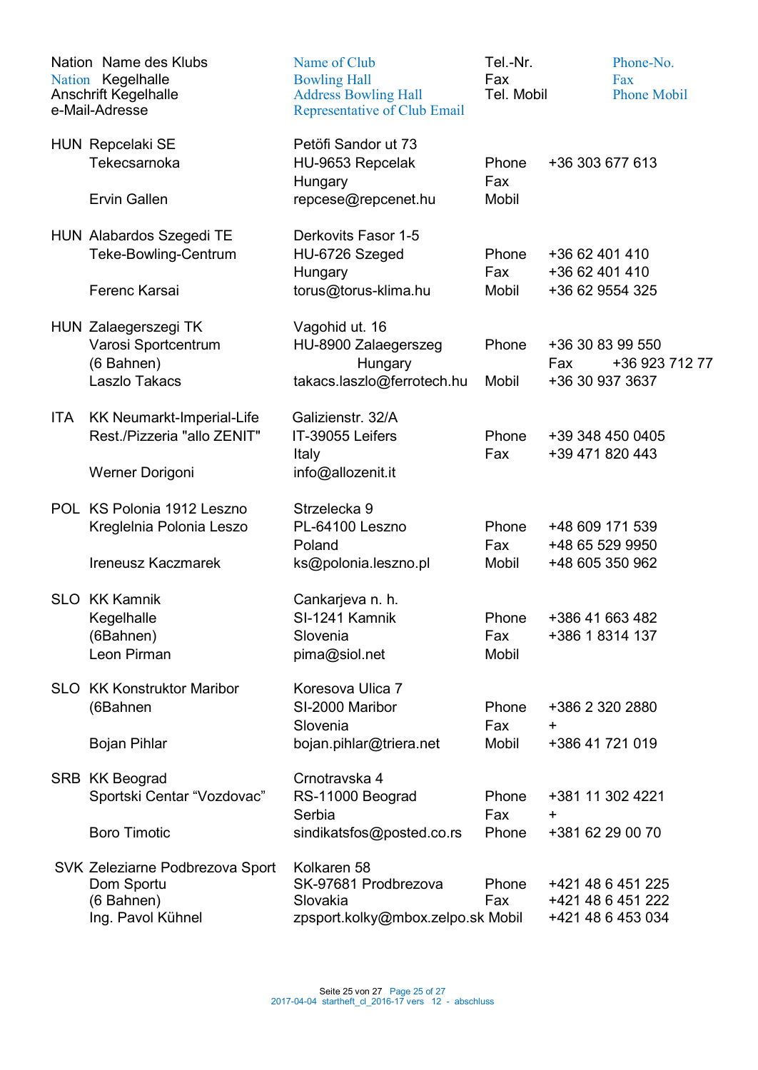| Nation Name des Klubs<br>Nation Kegelhalle<br>Anschrift Kegelhalle<br>e-Mail-Adresse | Name of Club<br><b>Bowling Hall</b><br><b>Address Bowling Hall</b><br>Representative of Club Email | Tel.-Nr.<br>Fax<br>Tel. Mobil | Phone-No.<br>Fax<br><b>Phone Mobil</b>                       |
|--------------------------------------------------------------------------------------|----------------------------------------------------------------------------------------------------|-------------------------------|--------------------------------------------------------------|
| HUN Repcelaki SE<br>Tekecsarnoka<br>Ervin Gallen                                     | Petöfi Sandor ut 73<br>HU-9653 Repcelak<br>Hungary<br>repcese@repcenet.hu                          | Phone<br>Fax<br>Mobil         | +36 303 677 613                                              |
| HUN Alabardos Szegedi TE<br>Teke-Bowling-Centrum<br>Ferenc Karsai                    | Derkovits Fasor 1-5<br>HU-6726 Szeged<br>Hungary<br>torus@torus-klima.hu                           | Phone<br>Fax<br>Mobil         | +36 62 401 410<br>+36 62 401 410<br>+36 62 9554 325          |
| HUN Zalaegerszegi TK<br>Varosi Sportcentrum<br>(6 Bahnen)<br>Laszlo Takacs           | Vagohid ut. 16<br>HU-8900 Zalaegerszeg<br>Hungary<br>takacs.laszlo@ferrotech.hu                    | Phone<br>Mobil                | +36 30 83 99 550<br>Fax<br>+36 923 712 77<br>+36 30 937 3637 |
| ITA<br>KK Neumarkt-Imperial-Life<br>Rest./Pizzeria "allo ZENIT"<br>Werner Dorigoni   | Galizienstr. 32/A<br>IT-39055 Leifers<br>Italy<br>info@allozenit.it                                | Phone<br>Fax                  | +39 348 450 0405<br>+39 471 820 443                          |
| POL KS Polonia 1912 Leszno<br>Kreglelnia Polonia Leszo<br>Ireneusz Kaczmarek         | Strzelecka 9<br>PL-64100 Leszno<br>Poland<br>ks@polonia.leszno.pl                                  | Phone<br>Fax<br>Mobil         | +48 609 171 539<br>+48 65 529 9950<br>+48 605 350 962        |
| SLO KK Kamnik<br>Kegelhalle<br>(6Bahnen)<br>Leon Pirman                              | Cankarjeva n. h.<br>SI-1241 Kamnik<br>Slovenia<br>pima@siol.net                                    | Phone<br>Fax<br>Mobil         | +386 41 663 482<br>+386 1 8314 137                           |
| <b>SLO KK Konstruktor Maribor</b><br>(6Bahnen<br><b>Bojan Pihlar</b>                 | Koresova Ulica 7<br>SI-2000 Maribor<br>Slovenia<br>bojan.pihlar@triera.net                         | Phone<br>Fax<br>Mobil         | +386 2 320 2880<br>$\ddot{}$<br>+386 41 721 019              |
| SRB KK Beograd<br>Sportski Centar "Vozdovac"<br><b>Boro Timotic</b>                  | Crnotravska 4<br>RS-11000 Beograd<br>Serbia<br>sindikatsfos@posted.co.rs                           | Phone<br>Fax<br>Phone         | +381 11 302 4221<br>$+$<br>+381 62 29 00 70                  |
| SVK Zeleziarne Podbrezova Sport<br>Dom Sportu<br>(6 Bahnen)<br>Ing. Pavol Kühnel     | Kolkaren 58<br>SK-97681 Prodbrezova<br>Slovakia<br>zpsport.kolky@mbox.zelpo.sk Mobil               | Phone<br>Fax                  | +421 48 6 451 225<br>+421 48 6 451 222<br>+421 48 6 453 034  |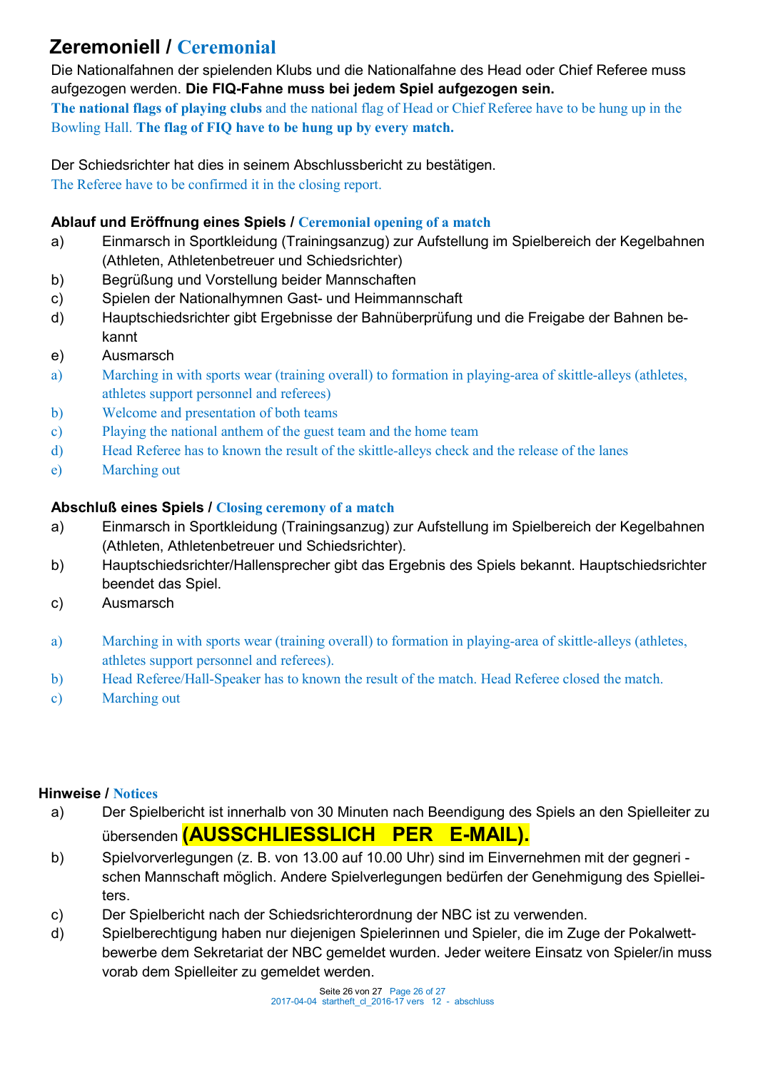## **Zeremoniell / Ceremonial**

Die Nationalfahnen der spielenden Klubs und die Nationalfahne des Head oder Chief Referee muss aufgezogen werden. **Die FIQ-Fahne muss bei jedem Spiel aufgezogen sein. The national flags of playing clubs** and the national flag of Head or Chief Referee have to be hung up in the Bowling Hall. **The flag of FIQ have to be hung up by every match.** 

Der Schiedsrichter hat dies in seinem Abschlussbericht zu bestätigen. The Referee have to be confirmed it in the closing report.

## **Ablauf und Eröffnung eines Spiels / Ceremonial opening of a match**

- a) Einmarsch in Sportkleidung (Trainingsanzug) zur Aufstellung im Spielbereich der Kegelbahnen (Athleten, Athletenbetreuer und Schiedsrichter)
- b) Begrüßung und Vorstellung beider Mannschaften
- c) Spielen der Nationalhymnen Gast- und Heimmannschaft
- d) Hauptschiedsrichter gibt Ergebnisse der Bahnüberprüfung und die Freigabe der Bahnen be kannt
- e) Ausmarsch
- a) Marching in with sports wear (training overall) to formation in playing-area of skittle-alleys (athletes, athletes support personnel and referees)
- b) Welcome and presentation of both teams
- c) Playing the national anthem of the guest team and the home team
- d) Head Referee has to known the result of the skittle-alleys check and the release of the lanes
- e) Marching out

## **Abschluß eines Spiels / Closing ceremony of a match**

- a) Einmarsch in Sportkleidung (Trainingsanzug) zur Aufstellung im Spielbereich der Kegelbahnen (Athleten, Athletenbetreuer und Schiedsrichter).
- b) Hauptschiedsrichter/Hallensprecher gibt das Ergebnis des Spiels bekannt. Hauptschiedsrichter beendet das Spiel.
- c) Ausmarsch
- a) Marching in with sports wear (training overall) to formation in playing-area of skittle-alleys (athletes, athletes support personnel and referees).
- b) Head Referee/Hall-Speaker has to known the result of the match. Head Referee closed the match.
- c) Marching out

## **Hinweise / Notices**

- a) Der Spielbericht ist innerhalb von 30 Minuten nach Beendigung des Spiels an den Spielleiter zu übersenden **(AUSSCHLIESSLICH PER E-MAIL).**
- b) Spielvorverlegungen (z. B. von 13.00 auf 10.00 Uhr) sind im Einvernehmen mit der gegneri schen Mannschaft möglich. Andere Spielverlegungen bedürfen der Genehmigung des Spiellei ters.
- c) Der Spielbericht nach der Schiedsrichterordnung der NBC ist zu verwenden.
- d) Spielberechtigung haben nur diejenigen Spielerinnen und Spieler, die im Zuge der Pokalwett bewerbe dem Sekretariat der NBC gemeldet wurden. Jeder weitere Einsatz von Spieler/in muss vorab dem Spielleiter zu gemeldet werden.